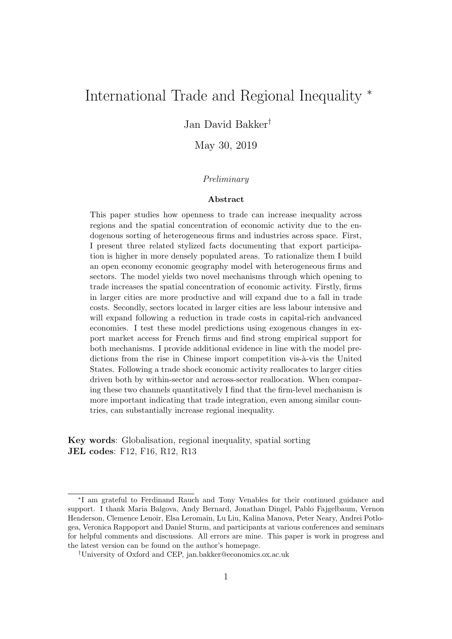# International Trade and Regional Inequality <sup>∗</sup>

Jan David Bakker†

May 30, 2019

#### Preliminary

#### Abstract

This paper studies how openness to trade can increase inequality across regions and the spatial concentration of economic activity due to the endogenous sorting of heterogeneous firms and industries across space. First, I present three related stylized facts documenting that export participation is higher in more densely populated areas. To rationalize them I build an open economy economic geography model with heterogeneous firms and sectors. The model yields two novel mechanisms through which opening to trade increases the spatial concentration of economic activity. Firstly, firms in larger cities are more productive and will expand due to a fall in trade costs. Secondly, sectors located in larger cities are less labour intensive and will expand following a reduction in trade costs in capital-rich andvanced economies. I test these model predictions using exogenous changes in export market access for French firms and find strong empirical support for both mechanisms. I provide additional evidence in line with the model predictions from the rise in Chinese import competition vis- $\alpha$ -vis the United States. Following a trade shock economic activity reallocates to larger cities driven both by within-sector and across-sector reallocation. When comparing these two channels quantitatively I find that the firm-level mechanism is more important indicating that trade integration, even among similar countries, can substantially increase regional inequality.

Key words: Globalisation, regional inequality, spatial sorting JEL codes: F12, F16, R12, R13

<sup>∗</sup> I am grateful to Ferdinand Rauch and Tony Venables for their continued guidance and support. I thank Maria Balgova, Andy Bernard, Jonathan Dingel, Pablo Fajgelbaum, Vernon Henderson, Clemence Lenoir, Elsa Leromain, Lu Liu, Kalina Manova, Peter Neary, Andrei Potlogea, Veronica Rappoport and Daniel Sturm, and participants at various conferences and seminars for helpful comments and discussions. All errors are mine. This paper is work in progress and the latest version can be found on the author's homepage.

<sup>†</sup>University of Oxford and CEP, jan.bakker@economics.ox.ac.uk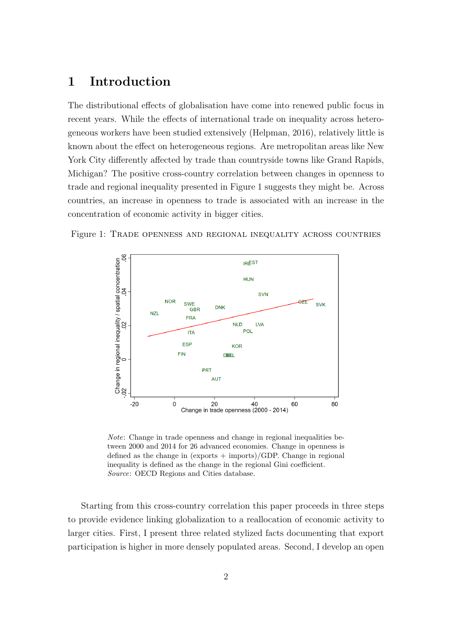# 1 Introduction

The distributional effects of globalisation have come into renewed public focus in recent years. While the effects of international trade on inequality across heterogeneous workers have been studied extensively (Helpman, 2016), relatively little is known about the effect on heterogeneous regions. Are metropolitan areas like New York City differently affected by trade than countryside towns like Grand Rapids, Michigan? The positive cross-country correlation between changes in openness to trade and regional inequality presented in Figure 1 suggests they might be. Across countries, an increase in openness to trade is associated with an increase in the concentration of economic activity in bigger cities.



Figure 1: Trade openness and regional inequality across countries

Note: Change in trade openness and change in regional inequalities between 2000 and 2014 for 26 advanced economies. Change in openness is defined as the change in  $(\text{exports} + \text{imports})/GDP$ . Change in regional inequality is defined as the change in the regional Gini coefficient. Source: OECD Regions and Cities database.

Starting from this cross-country correlation this paper proceeds in three steps to provide evidence linking globalization to a reallocation of economic activity to larger cities. First, I present three related stylized facts documenting that export participation is higher in more densely populated areas. Second, I develop an open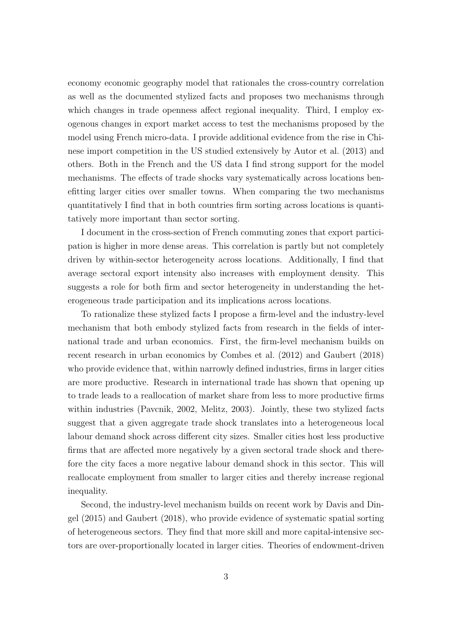economy economic geography model that rationales the cross-country correlation as well as the documented stylized facts and proposes two mechanisms through which changes in trade openness affect regional inequality. Third, I employ exogenous changes in export market access to test the mechanisms proposed by the model using French micro-data. I provide additional evidence from the rise in Chinese import competition in the US studied extensively by Autor et al. (2013) and others. Both in the French and the US data I find strong support for the model mechanisms. The effects of trade shocks vary systematically across locations benefitting larger cities over smaller towns. When comparing the two mechanisms quantitatively I find that in both countries firm sorting across locations is quantitatively more important than sector sorting.

I document in the cross-section of French commuting zones that export participation is higher in more dense areas. This correlation is partly but not completely driven by within-sector heterogeneity across locations. Additionally, I find that average sectoral export intensity also increases with employment density. This suggests a role for both firm and sector heterogeneity in understanding the heterogeneous trade participation and its implications across locations.

To rationalize these stylized facts I propose a firm-level and the industry-level mechanism that both embody stylized facts from research in the fields of international trade and urban economics. First, the firm-level mechanism builds on recent research in urban economics by Combes et al. (2012) and Gaubert (2018) who provide evidence that, within narrowly defined industries, firms in larger cities are more productive. Research in international trade has shown that opening up to trade leads to a reallocation of market share from less to more productive firms within industries (Pavcnik, 2002, Melitz, 2003). Jointly, these two stylized facts suggest that a given aggregate trade shock translates into a heterogeneous local labour demand shock across different city sizes. Smaller cities host less productive firms that are affected more negatively by a given sectoral trade shock and therefore the city faces a more negative labour demand shock in this sector. This will reallocate employment from smaller to larger cities and thereby increase regional inequality.

Second, the industry-level mechanism builds on recent work by Davis and Dingel (2015) and Gaubert (2018), who provide evidence of systematic spatial sorting of heterogeneous sectors. They find that more skill and more capital-intensive sectors are over-proportionally located in larger cities. Theories of endowment-driven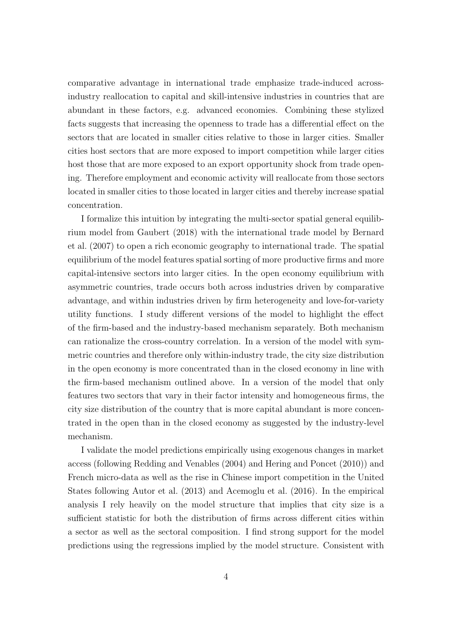comparative advantage in international trade emphasize trade-induced acrossindustry reallocation to capital and skill-intensive industries in countries that are abundant in these factors, e.g. advanced economies. Combining these stylized facts suggests that increasing the openness to trade has a differential effect on the sectors that are located in smaller cities relative to those in larger cities. Smaller cities host sectors that are more exposed to import competition while larger cities host those that are more exposed to an export opportunity shock from trade opening. Therefore employment and economic activity will reallocate from those sectors located in smaller cities to those located in larger cities and thereby increase spatial concentration.

I formalize this intuition by integrating the multi-sector spatial general equilibrium model from Gaubert (2018) with the international trade model by Bernard et al. (2007) to open a rich economic geography to international trade. The spatial equilibrium of the model features spatial sorting of more productive firms and more capital-intensive sectors into larger cities. In the open economy equilibrium with asymmetric countries, trade occurs both across industries driven by comparative advantage, and within industries driven by firm heterogeneity and love-for-variety utility functions. I study different versions of the model to highlight the effect of the firm-based and the industry-based mechanism separately. Both mechanism can rationalize the cross-country correlation. In a version of the model with symmetric countries and therefore only within-industry trade, the city size distribution in the open economy is more concentrated than in the closed economy in line with the firm-based mechanism outlined above. In a version of the model that only features two sectors that vary in their factor intensity and homogeneous firms, the city size distribution of the country that is more capital abundant is more concentrated in the open than in the closed economy as suggested by the industry-level mechanism.

I validate the model predictions empirically using exogenous changes in market access (following Redding and Venables (2004) and Hering and Poncet (2010)) and French micro-data as well as the rise in Chinese import competition in the United States following Autor et al. (2013) and Acemoglu et al. (2016). In the empirical analysis I rely heavily on the model structure that implies that city size is a sufficient statistic for both the distribution of firms across different cities within a sector as well as the sectoral composition. I find strong support for the model predictions using the regressions implied by the model structure. Consistent with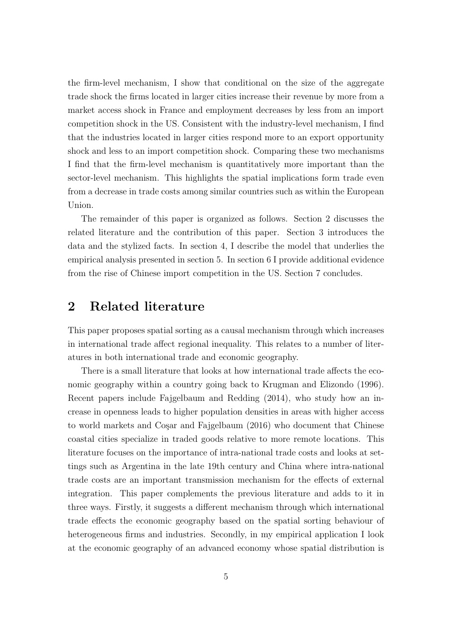the firm-level mechanism, I show that conditional on the size of the aggregate trade shock the firms located in larger cities increase their revenue by more from a market access shock in France and employment decreases by less from an import competition shock in the US. Consistent with the industry-level mechanism, I find that the industries located in larger cities respond more to an export opportunity shock and less to an import competition shock. Comparing these two mechanisms I find that the firm-level mechanism is quantitatively more important than the sector-level mechanism. This highlights the spatial implications form trade even from a decrease in trade costs among similar countries such as within the European Union.

The remainder of this paper is organized as follows. Section 2 discusses the related literature and the contribution of this paper. Section 3 introduces the data and the stylized facts. In section 4, I describe the model that underlies the empirical analysis presented in section 5. In section 6 I provide additional evidence from the rise of Chinese import competition in the US. Section 7 concludes.

# 2 Related literature

This paper proposes spatial sorting as a causal mechanism through which increases in international trade affect regional inequality. This relates to a number of literatures in both international trade and economic geography.

There is a small literature that looks at how international trade affects the economic geography within a country going back to Krugman and Elizondo (1996). Recent papers include Fajgelbaum and Redding (2014), who study how an increase in openness leads to higher population densities in areas with higher access to world markets and Cosar and Fajgelbaum (2016) who document that Chinese coastal cities specialize in traded goods relative to more remote locations. This literature focuses on the importance of intra-national trade costs and looks at settings such as Argentina in the late 19th century and China where intra-national trade costs are an important transmission mechanism for the effects of external integration. This paper complements the previous literature and adds to it in three ways. Firstly, it suggests a different mechanism through which international trade effects the economic geography based on the spatial sorting behaviour of heterogeneous firms and industries. Secondly, in my empirical application I look at the economic geography of an advanced economy whose spatial distribution is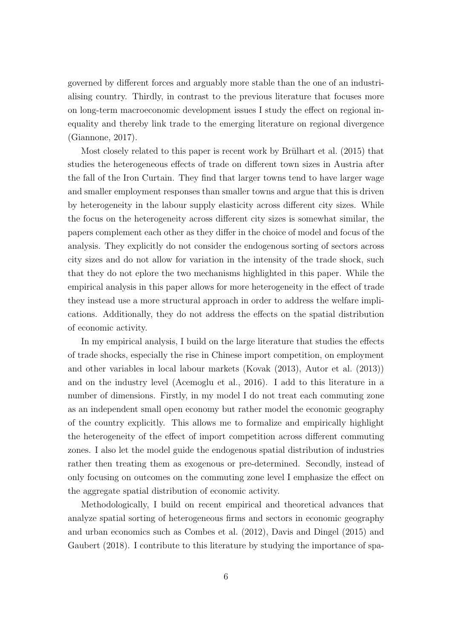governed by different forces and arguably more stable than the one of an industrialising country. Thirdly, in contrast to the previous literature that focuses more on long-term macroeconomic development issues I study the effect on regional inequality and thereby link trade to the emerging literature on regional divergence (Giannone, 2017).

Most closely related to this paper is recent work by Brülhart et al.  $(2015)$  that studies the heterogeneous effects of trade on different town sizes in Austria after the fall of the Iron Curtain. They find that larger towns tend to have larger wage and smaller employment responses than smaller towns and argue that this is driven by heterogeneity in the labour supply elasticity across different city sizes. While the focus on the heterogeneity across different city sizes is somewhat similar, the papers complement each other as they differ in the choice of model and focus of the analysis. They explicitly do not consider the endogenous sorting of sectors across city sizes and do not allow for variation in the intensity of the trade shock, such that they do not eplore the two mechanisms highlighted in this paper. While the empirical analysis in this paper allows for more heterogeneity in the effect of trade they instead use a more structural approach in order to address the welfare implications. Additionally, they do not address the effects on the spatial distribution of economic activity.

In my empirical analysis, I build on the large literature that studies the effects of trade shocks, especially the rise in Chinese import competition, on employment and other variables in local labour markets (Kovak (2013), Autor et al. (2013)) and on the industry level (Acemoglu et al., 2016). I add to this literature in a number of dimensions. Firstly, in my model I do not treat each commuting zone as an independent small open economy but rather model the economic geography of the country explicitly. This allows me to formalize and empirically highlight the heterogeneity of the effect of import competition across different commuting zones. I also let the model guide the endogenous spatial distribution of industries rather then treating them as exogenous or pre-determined. Secondly, instead of only focusing on outcomes on the commuting zone level I emphasize the effect on the aggregate spatial distribution of economic activity.

Methodologically, I build on recent empirical and theoretical advances that analyze spatial sorting of heterogeneous firms and sectors in economic geography and urban economics such as Combes et al. (2012), Davis and Dingel (2015) and Gaubert (2018). I contribute to this literature by studying the importance of spa-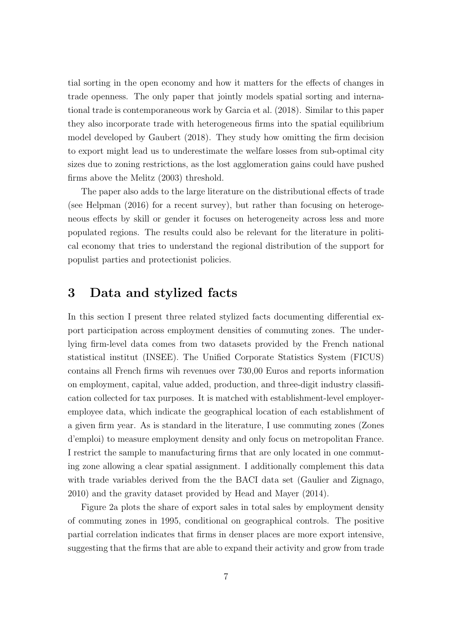tial sorting in the open economy and how it matters for the effects of changes in trade openness. The only paper that jointly models spatial sorting and international trade is contemporaneous work by Garcia et al. (2018). Similar to this paper they also incorporate trade with heterogeneous firms into the spatial equilibrium model developed by Gaubert (2018). They study how omitting the firm decision to export might lead us to underestimate the welfare losses from sub-optimal city sizes due to zoning restrictions, as the lost agglomeration gains could have pushed firms above the Melitz (2003) threshold.

The paper also adds to the large literature on the distributional effects of trade (see Helpman (2016) for a recent survey), but rather than focusing on heterogeneous effects by skill or gender it focuses on heterogeneity across less and more populated regions. The results could also be relevant for the literature in political economy that tries to understand the regional distribution of the support for populist parties and protectionist policies.

# 3 Data and stylized facts

In this section I present three related stylized facts documenting differential export participation across employment densities of commuting zones. The underlying firm-level data comes from two datasets provided by the French national statistical institut (INSEE). The Unified Corporate Statistics System (FICUS) contains all French firms wih revenues over 730,00 Euros and reports information on employment, capital, value added, production, and three-digit industry classification collected for tax purposes. It is matched with establishment-level employeremployee data, which indicate the geographical location of each establishment of a given firm year. As is standard in the literature, I use commuting zones (Zones d'emploi) to measure employment density and only focus on metropolitan France. I restrict the sample to manufacturing firms that are only located in one commuting zone allowing a clear spatial assignment. I additionally complement this data with trade variables derived from the the BACI data set (Gaulier and Zignago, 2010) and the gravity dataset provided by Head and Mayer (2014).

Figure 2a plots the share of export sales in total sales by employment density of commuting zones in 1995, conditional on geographical controls. The positive partial correlation indicates that firms in denser places are more export intensive, suggesting that the firms that are able to expand their activity and grow from trade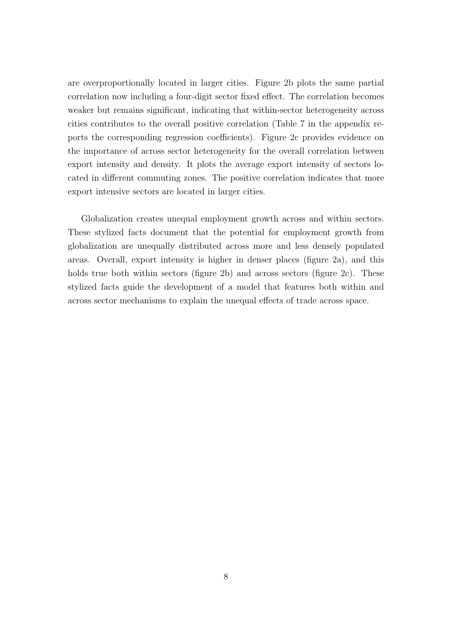are overproportionally located in larger cities. Figure 2b plots the same partial correlation now including a four-digit sector fixed effect. The correlation becomes weaker but remains significant, indicating that within-sector heterogeneity across cities contributes to the overall positive correlation (Table 7 in the appendix reports the corresponding regression coefficients). Figure 2c provides evidence on the importance of across sector heterogeneity for the overall correlation between export intensity and density. It plots the average export intensity of sectors located in different commuting zones. The positive correlation indicates that more export intensive sectors are located in larger cities.

Globalization creates unequal employment growth across and within sectors. These stylized facts document that the potential for employment growth from globalization are unequally distributed across more and less densely populated areas. Overall, export intensity is higher in denser places (figure 2a), and this holds true both within sectors (figure 2b) and across sectors (figure 2c). These stylized facts guide the development of a model that features both within and across sector mechanisms to explain the unequal effects of trade across space.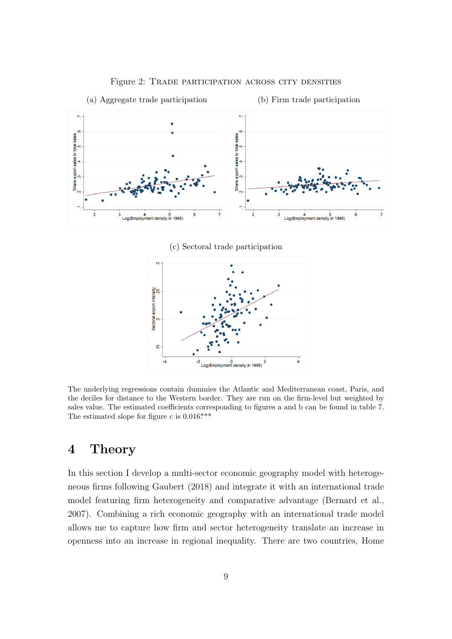

Figure 2: Trade participation across city densities

(c) Sectoral trade participation



The underlying regressions contain dummies the Atlantic and Mediterranean coast, Paris, and the deciles for distance to the Western border. They are run on the firm-level but weighted by sales value. The estimated coefficients corresponding to figures a and b can be found in table 7. The estimated slope for figure c is  $0.016***$ .

# 4 Theory

In this section I develop a multi-sector economic geography model with heterogeneous firms following Gaubert (2018) and integrate it with an international trade model featuring firm heterogeneity and comparative advantage (Bernard et al., 2007). Combining a rich economic geography with an international trade model allows me to capture how firm and sector heterogeneity translate an increase in openness into an increase in regional inequality. There are two countries, Home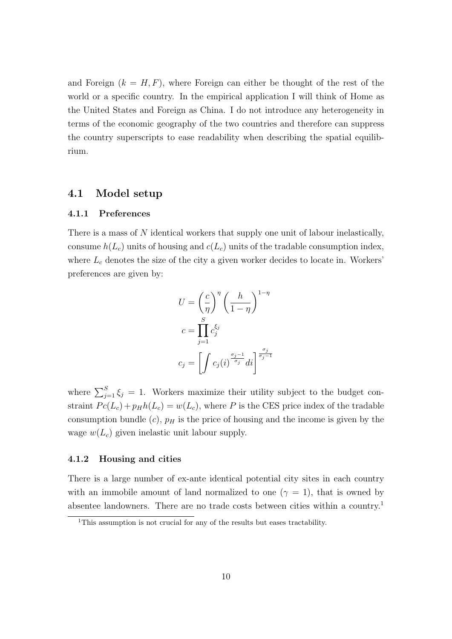and Foreign  $(k = H, F)$ , where Foreign can either be thought of the rest of the world or a specific country. In the empirical application I will think of Home as the United States and Foreign as China. I do not introduce any heterogeneity in terms of the economic geography of the two countries and therefore can suppress the country superscripts to ease readability when describing the spatial equilibrium.

### 4.1 Model setup

#### 4.1.1 Preferences

There is a mass of N identical workers that supply one unit of labour inelastically, consume  $h(L_c)$  units of housing and  $c(L_c)$  units of the tradable consumption index, where  $L_c$  denotes the size of the city a given worker decides to locate in. Workers' preferences are given by:

$$
U = \left(\frac{c}{\eta}\right)^{\eta} \left(\frac{h}{1-\eta}\right)^{1-\eta}
$$

$$
c = \prod_{j=1}^{S} c_j^{\xi_j}
$$

$$
c_j = \left[\int c_j(i)^{\frac{\sigma_j - 1}{\sigma_j}} di\right]^{\frac{\sigma_j}{\sigma_j - 1}}
$$

where  $\sum_{j=1}^{S} \xi_j = 1$ . Workers maximize their utility subject to the budget constraint  $Pc(L_c) + p_Hh(L_c) = w(L_c)$ , where P is the CES price index of the tradable consumption bundle  $(c)$ ,  $p<sub>H</sub>$  is the price of housing and the income is given by the wage  $w(L_c)$  given inelastic unit labour supply.

#### 4.1.2 Housing and cities

There is a large number of ex-ante identical potential city sites in each country with an immobile amount of land normalized to one ( $\gamma = 1$ ), that is owned by absentee landowners. There are no trade costs between cities within a country.<sup>1</sup>

<sup>&</sup>lt;sup>1</sup>This assumption is not crucial for any of the results but eases tractability.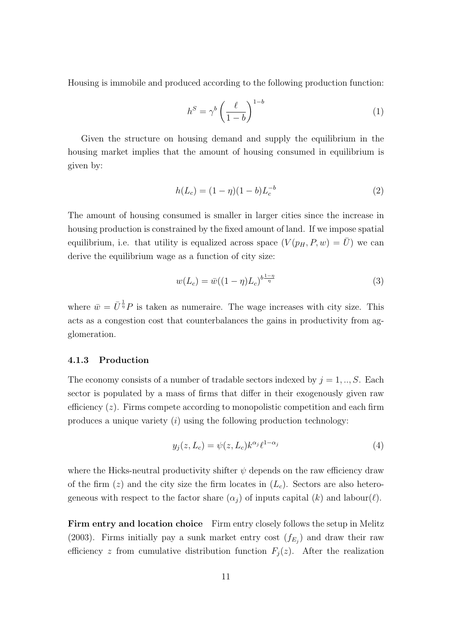Housing is immobile and produced according to the following production function:

$$
h^S = \gamma^b \left(\frac{\ell}{1-b}\right)^{1-b} \tag{1}
$$

Given the structure on housing demand and supply the equilibrium in the housing market implies that the amount of housing consumed in equilibrium is given by:

$$
h(L_c) = (1 - \eta)(1 - b)L_c^{-b}
$$
\n(2)

The amount of housing consumed is smaller in larger cities since the increase in housing production is constrained by the fixed amount of land. If we impose spatial equilibrium, i.e. that utility is equalized across space  $(V(p_H, P, w) = \overline{U})$  we can derive the equilibrium wage as a function of city size:

$$
w(L_c) = \bar{w}((1 - \eta)L_c)^{b \frac{1 - \eta}{\eta}}
$$
\n(3)

where  $\bar{w} = \bar{U}^{\frac{1}{\eta}}P$  is taken as numeraire. The wage increases with city size. This acts as a congestion cost that counterbalances the gains in productivity from agglomeration.

#### 4.1.3 Production

The economy consists of a number of tradable sectors indexed by  $j = 1, ..., S$ . Each sector is populated by a mass of firms that differ in their exogenously given raw efficiency  $(z)$ . Firms compete according to monopolistic competition and each firm produces a unique variety  $(i)$  using the following production technology:

$$
y_j(z, L_c) = \psi(z, L_c) k^{\alpha_j} \ell^{1 - \alpha_j} \tag{4}
$$

where the Hicks-neutral productivity shifter  $\psi$  depends on the raw efficiency draw of the firm  $(z)$  and the city size the firm locates in  $(L<sub>c</sub>)$ . Sectors are also heterogeneous with respect to the factor share  $(\alpha_i)$  of inputs capital  $(k)$  and labour $(\ell)$ .

Firm entry and location choice Firm entry closely follows the setup in Melitz (2003). Firms initially pay a sunk market entry cost  $(f_{E_j})$  and draw their raw efficiency z from cumulative distribution function  $F_j(z)$ . After the realization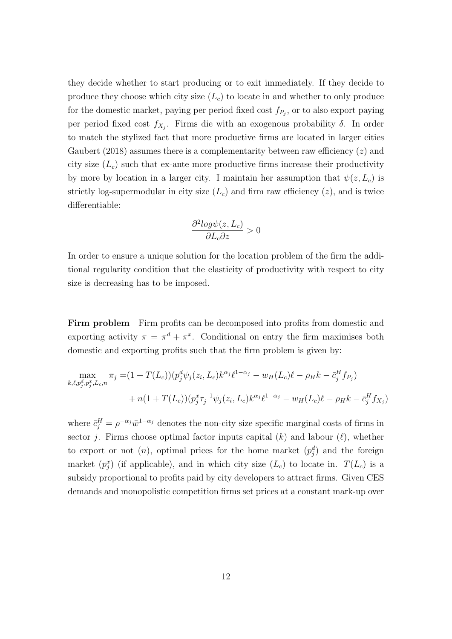they decide whether to start producing or to exit immediately. If they decide to produce they choose which city size  $(L<sub>c</sub>)$  to locate in and whether to only produce for the domestic market, paying per period fixed cost  $f_{P_j}$ , or to also export paying per period fixed cost  $f_{X_j}$ . Firms die with an exogenous probability  $\delta$ . In order to match the stylized fact that more productive firms are located in larger cities Gaubert (2018) assumes there is a complementarity between raw efficiency  $(z)$  and city size  $(L_c)$  such that ex-ante more productive firms increase their productivity by more by location in a larger city. I maintain her assumption that  $\psi(z, L_c)$  is strictly log-supermodular in city size  $(L<sub>c</sub>)$  and firm raw efficiency  $(z)$ , and is twice differentiable:

$$
\frac{\partial^2 log \psi(z, L_c)}{\partial L_c \partial z} > 0
$$

In order to ensure a unique solution for the location problem of the firm the additional regularity condition that the elasticity of productivity with respect to city size is decreasing has to be imposed.

Firm problem Firm profits can be decomposed into profits from domestic and exporting activity  $\pi = \pi^d + \pi^x$ . Conditional on entry the firm maximises both domestic and exporting profits such that the firm problem is given by:

$$
\max_{k,\ell,p_j^d,p_j^x,L_c,n} \pi_j = (1+T(L_c))(p_j^d \psi_j(z_i,L_c)k^{\alpha_j} \ell^{1-\alpha_j} - w_H(L_c)\ell - \rho_H k - \bar{c}_j^H f_{P_j}) + n(1+T(L_c))(p_j^x \tau_j^{-1} \psi_j(z_i,L_c)k^{\alpha_j} \ell^{1-\alpha_j} - w_H(L_c)\ell - \rho_H k - \bar{c}_j^H f_{X_j})
$$

where  $\bar{c}_j^H = \rho^{-\alpha_j} \bar{w}^{1-\alpha_j}$  denotes the non-city size specific marginal costs of firms in sector j. Firms choose optimal factor inputs capital  $(k)$  and labour  $(\ell)$ , whether to export or not  $(n)$ , optimal prices for the home market  $(p_j^d)$  and the foreign market  $(p_j^x)$  (if applicable), and in which city size  $(L_c)$  to locate in.  $T(L_c)$  is a subsidy proportional to profits paid by city developers to attract firms. Given CES demands and monopolistic competition firms set prices at a constant mark-up over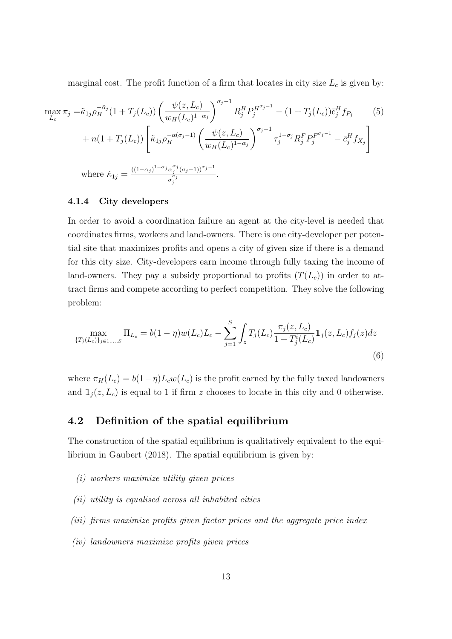marginal cost. The profit function of a firm that locates in city size  $L_c$  is given by:

$$
\max_{L_c} \pi_j = \tilde{\kappa}_{1j} \rho_H^{-\tilde{\alpha}_j} (1 + T_j(L_c)) \left( \frac{\psi(z, L_c)}{w_H(L_c)^{1 - \alpha_j}} \right)^{\sigma_j - 1} R_j^H P_j^{H^{\sigma_j - 1}} - (1 + T_j(L_c)) \bar{c}_j^H f_{P_j} \tag{5}
$$
\n
$$
+ n(1 + T_j(L_c)) \left[ \tilde{\kappa}_{1j} \rho_H^{-\alpha(\sigma_j - 1)} \left( \frac{\psi(z, L_c)}{w_H(L_c)^{1 - \alpha_j}} \right)^{\sigma_j - 1} \tau_j^{1 - \sigma_j} R_j^F P_j^{F^{\sigma_j - 1}} - \bar{c}_j^H f_{X_j} \right]
$$
\nwhere  $\tilde{\kappa}_{1j} = \frac{((1 - \alpha_j)^{1 - \alpha_j} \alpha_j^{\alpha_j} (\sigma_j - 1))^{\sigma_j - 1}}{\sigma_j^{\sigma_j}}.$ 

#### 4.1.4 City developers

In order to avoid a coordination failure an agent at the city-level is needed that coordinates firms, workers and land-owners. There is one city-developer per potential site that maximizes profits and opens a city of given size if there is a demand for this city size. City-developers earn income through fully taxing the income of land-owners. They pay a subsidy proportional to profits  $(T(L_c))$  in order to attract firms and compete according to perfect competition. They solve the following problem:

$$
\max_{\{T_j(L_c)\}_{j\in 1,\dots,S}} \Pi_{L_c} = b(1-\eta)w(L_c)L_c - \sum_{j=1}^S \int_z T_j(L_c) \frac{\pi_j(z, L_c)}{1 + T_j^i(L_c)} \mathbb{1}_j(z, L_c) f_j(z) dz
$$
\n(6)

where  $\pi_H(L_c) = b(1-\eta)L_cw(L_c)$  is the profit earned by the fully taxed landowners and  $\mathbb{1}_j(z, L_c)$  is equal to 1 if firm z chooses to locate in this city and 0 otherwise.

## 4.2 Definition of the spatial equilibrium

The construction of the spatial equilibrium is qualitatively equivalent to the equilibrium in Gaubert (2018). The spatial equilibrium is given by:

- (i) workers maximize utility given prices
- (ii) utility is equalised across all inhabited cities
- (iii) firms maximize profits given factor prices and the aggregate price index
- (iv) landowners maximize profits given prices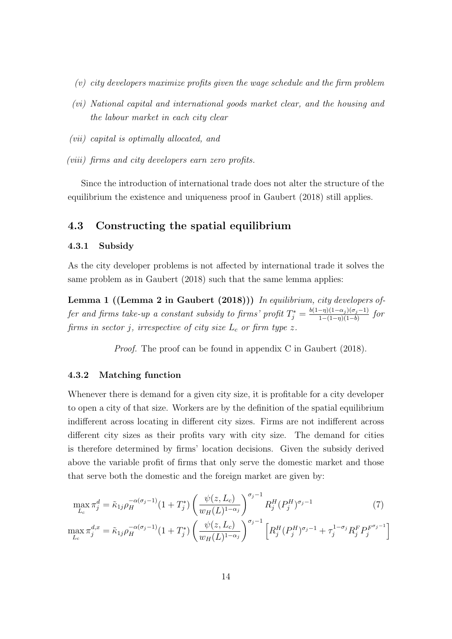- (v) city developers maximize profits given the wage schedule and the firm problem
- (vi) National capital and international goods market clear, and the housing and the labour market in each city clear
- (vii) capital is optimally allocated, and
- (viii) firms and city developers earn zero profits.

Since the introduction of international trade does not alter the structure of the equilibrium the existence and uniqueness proof in Gaubert (2018) still applies.

## 4.3 Constructing the spatial equilibrium

#### 4.3.1 Subsidy

As the city developer problems is not affected by international trade it solves the same problem as in Gaubert (2018) such that the same lemma applies:

Lemma 1 ((Lemma 2 in Gaubert (2018))) In equilibrium, city developers offer and firms take-up a constant subsidy to firms' profit  $T_j^* = \frac{b(1-\eta)(1-\alpha_j)(\sigma_j-1)}{1-(1-\eta)(1-b)}$  $\frac{-\eta(1-\alpha_j)(\sigma_j-1)}{1-(1-\eta)(1-b)}$  for firms in sector j, irrespective of city size  $L_c$  or firm type z.

Proof. The proof can be found in appendix C in Gaubert (2018).

#### 4.3.2 Matching function

Whenever there is demand for a given city size, it is profitable for a city developer to open a city of that size. Workers are by the definition of the spatial equilibrium indifferent across locating in different city sizes. Firms are not indifferent across different city sizes as their profits vary with city size. The demand for cities is therefore determined by firms' location decisions. Given the subsidy derived above the variable profit of firms that only serve the domestic market and those that serve both the domestic and the foreign market are given by:

$$
\max_{L_c} \pi_j^d = \tilde{\kappa}_{1j} \rho_H^{-\alpha(\sigma_j - 1)} (1 + T_j^*) \left( \frac{\psi(z, L_c)}{w_H(L)^{1 - \alpha_j}} \right)^{\sigma_j - 1} R_j^H(P_j^H)^{\sigma_j - 1}
$$
(7)  

$$
dx \qquad \approx \qquad -\alpha(\sigma_j - 1) \left( 1 + T_j^* \right) \left( \frac{\psi(z, L_c)}{\psi(z, L_c)} \right)^{\sigma_j - 1} \left[ P_M^H(P_j^H)^{\sigma_j - 1} \right]^{1 - \sigma_j} P_j^F P_j^F \sigma_j^{-1}
$$

$$
\max_{L_c} \pi_j^{d,x} = \tilde{\kappa}_{1j} \rho_H^{-\alpha(\sigma_j - 1)} (1 + T_j^*) \left( \frac{\psi(z, L_c)}{w_H(L)^{1 - \alpha_j}} \right)^{\sigma_j - 1} \left[ R_j^H(P_j^H)^{\sigma_j - 1} + \tau_j^{1 - \sigma_j} R_j^F P_j^{F^{\sigma_j - 1}} \right]
$$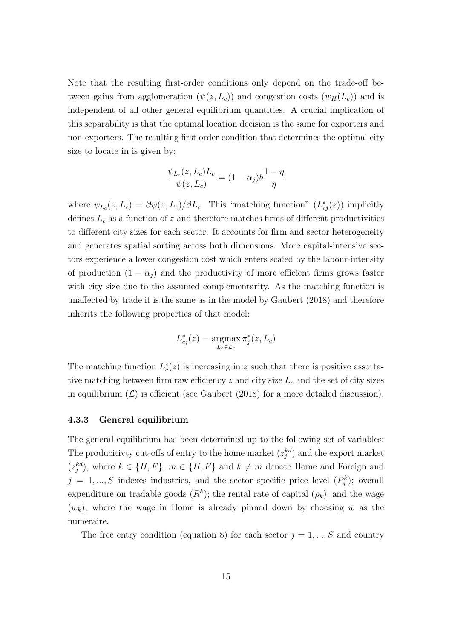Note that the resulting first-order conditions only depend on the trade-off between gains from agglomeration  $(\psi(z, L_c))$  and congestion costs  $(w_H(L_c))$  and is independent of all other general equilibrium quantities. A crucial implication of this separability is that the optimal location decision is the same for exporters and non-exporters. The resulting first order condition that determines the optimal city size to locate in is given by:

$$
\frac{\psi_{L_c}(z, L_c)L_c}{\psi(z, L_c)} = (1 - \alpha_j)b\frac{1 - \eta}{\eta}
$$

where  $\psi_{L_c}(z, L_c) = \partial \psi(z, L_c)/\partial L_c$ . This "matching function"  $(L_{cj}^*(z))$  implicitly defines  $L_c$  as a function of z and therefore matches firms of different productivities to different city sizes for each sector. It accounts for firm and sector heterogeneity and generates spatial sorting across both dimensions. More capital-intensive sectors experience a lower congestion cost which enters scaled by the labour-intensity of production  $(1 - \alpha_j)$  and the productivity of more efficient firms grows faster with city size due to the assumed complementarity. As the matching function is unaffected by trade it is the same as in the model by Gaubert (2018) and therefore inherits the following properties of that model:

$$
L_{cj}^*(z) = \operatorname*{argmax}_{L_c \in \mathcal{L}_c} \pi_j^*(z, L_c)
$$

The matching function  $L_c^*(z)$  is increasing in z such that there is positive assortative matching between firm raw efficiency  $z$  and city size  $L<sub>c</sub>$  and the set of city sizes in equilibrium  $(\mathcal{L})$  is efficient (see Gaubert (2018) for a more detailed discussion).

#### 4.3.3 General equilibrium

The general equilibrium has been determined up to the following set of variables: The producitivty cut-offs of entry to the home market  $(z_j^{kd})$  and the export market  $(z_j^{kd})$ , where  $k \in \{H, F\}$ ,  $m \in \{H, F\}$  and  $k \neq m$  denote Home and Foreign and  $j = 1, ..., S$  indexes industries, and the sector specific price level  $(P_j^k)$ ; overall expenditure on tradable goods  $(R^k)$ ; the rental rate of capital  $(\rho_k)$ ; and the wage  $(w_k)$ , where the wage in Home is already pinned down by choosing  $\bar{w}$  as the numeraire.

The free entry condition (equation 8) for each sector  $j = 1, ..., S$  and country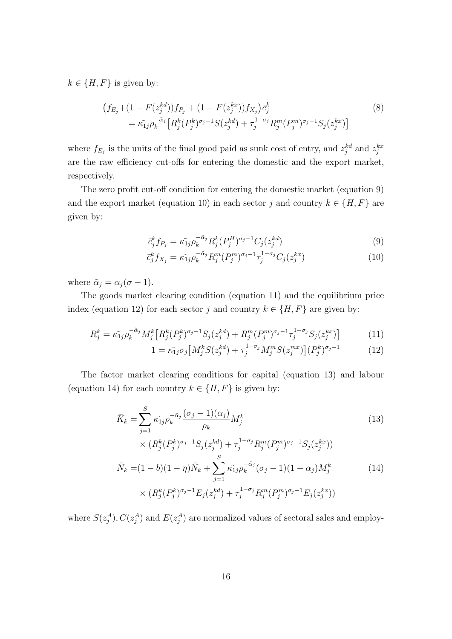$k \in \{H, F\}$  is given by:

$$
(f_{E_j} + (1 - F(z_j^{kd}))f_{P_j} + (1 - F(z_j^{kx}))f_{X_j})\bar{c}_j^k
$$
  
=  $\tilde{\kappa_{1j}}\rho_k^{-\tilde{\alpha}_j} \left[ R_j^k (P_j^k)^{\sigma_j - 1} S(z_j^{kd}) + \tau_j^{1 - \sigma_j} R_j^m (P_j^m)^{\sigma_j - 1} S_j(z_j^{kx}) \right]$  (8)

where  $f_{E_j}$  is the units of the final good paid as sunk cost of entry, and  $z_j^{kd}$  and  $z_j^{kx}$ are the raw efficiency cut-offs for entering the domestic and the export market, respectively.

The zero profit cut-off condition for entering the domestic market (equation 9) and the export market (equation 10) in each sector j and country  $k \in \{H, F\}$  are given by:

$$
\bar{c}_{j}^{k} f_{P_{j}} = \tilde{\kappa_{1j}} \rho_{k}^{-\tilde{\alpha}_{j}} R_{j}^{k} (P_{j}^{H})^{\sigma_{j}-1} C_{j} (z_{j}^{kd})
$$
\n(9)

$$
\bar{c}_j^k f_{X_j} = \tilde{\kappa_{1j}} \rho_k^{-\tilde{\alpha}_j} R_j^m (P_j^m)^{\sigma_j - 1} \tau_j^{1 - \sigma_j} C_j (z_j^{kx}) \tag{10}
$$

where  $\tilde{\alpha}_j = \alpha_j (\sigma - 1)$ .

The goods market clearing condition (equation 11) and the equilibrium price index (equation 12) for each sector j and country  $k \in \{H, F\}$  are given by:

$$
R_j^k = \tilde{\kappa_{1j}} \rho_k^{-\tilde{\alpha}_j} M_j^k \left[ R_j^k (P_j^k)^{\sigma_j - 1} S_j (z_j^{kd}) + R_j^m (P_j^m)^{\sigma_j - 1} \tau_j^{1 - \sigma_j} S_j (z_j^{kx}) \right] \tag{11}
$$

$$
1 = \tilde{\kappa_{1j}} \sigma_j \left[ M_j^k S(z_j^{kd}) + \tau_j^{1-\sigma_j} M_j^m S(z_j^{mx}) \right] (P_j^k)^{\sigma_j - 1}
$$
 (12)

The factor market clearing conditions for capital (equation 13) and labour (equation 14) for each country  $k \in \{H, F\}$  is given by:

$$
\bar{K}_k = \sum_{j=1}^S \tilde{\kappa_{1j}} \rho_k^{-\tilde{\alpha}_j} \frac{(\sigma_j - 1)(\alpha_j)}{\rho_k} M_j^k
$$
\n
$$
\times (R_j^k (P_j^k)^{\sigma_j - 1} S_j (z_j^{kd}) + \tau_j^{1 - \sigma_j} R_j^m (P_j^m)^{\sigma_j - 1} S_j (z_j^{kx}))
$$
\n
$$
\bar{N}_k = (1 - b)(1 - \eta) \bar{N}_k + \sum_{j=1}^S \tilde{\kappa_{1j}} \rho_k^{-\tilde{\alpha}_j} (\sigma_j - 1)(1 - \alpha_j) M_j^k
$$
\n
$$
\times (R_j^k (P_j^k)^{\sigma_j - 1} E_j (z_j^{kd}) + \tau_j^{1 - \sigma_j} R_j^m (P_j^m)^{\sigma_j - 1} E_j (z_j^{kx}))
$$
\n(14)

where  $S(z_j^A)$ ,  $C(z_j^A)$  and  $E(z_j^A)$  are normalized values of sectoral sales and employ-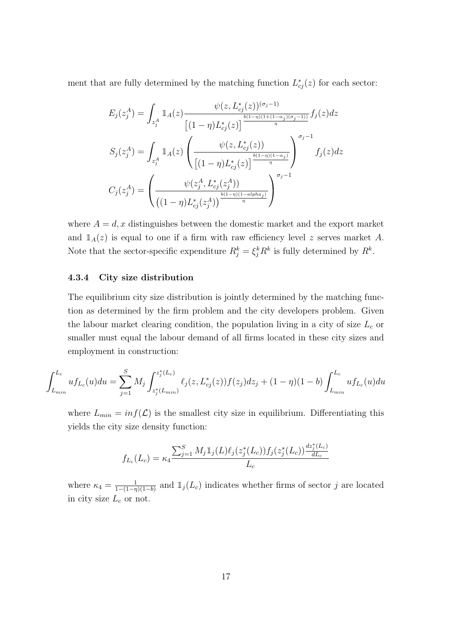ment that are fully determined by the matching function  $L_{cj}^*(z)$  for each sector:

$$
E_j(z_j^A) = \int_{z_j^A} \mathbb{1}_A(z) \frac{\psi(z, L_{cj}^*(z))^{(\sigma_j - 1)}}{\left[ (1 - \eta)L_{cj}^*(z) \right]^{\frac{b(1 - \eta)(1 + (1 - \alpha_j)(\sigma_j - 1))}{\eta}} f_j(z) dz}
$$

$$
S_j(z_j^A) = \int_{z_j^A} \mathbb{1}_A(z) \left( \frac{\psi(z, L_{cj}^*(z))}{\left[ (1 - \eta)L_{cj}^*(z) \right]^{\frac{b(1 - \eta)(1 - \alpha_j)}{\eta}}} \right)^{\sigma_j - 1} f_j(z) dz
$$

$$
C_j(z_j^A) = \left( \frac{\psi(z_j^A, L_{cj}^*(z_j^A))}{\left( (1 - \eta)L_{cj}^*(z_j^A) \right)^{\frac{b(1 - \eta)(1 - \alpha l p h a_j)}{\eta}}} \right)^{\sigma_j - 1}
$$

where  $A = d, x$  distinguishes between the domestic market and the export market and  $\mathbb{1}_A(z)$  is equal to one if a firm with raw efficiency level z serves market A. Note that the sector-specific expenditure  $R_j^k = \xi_j^k R^k$  is fully determined by  $R^k$ .

#### 4.3.4 City size distribution

The equilibrium city size distribution is jointly determined by the matching function as determined by the firm problem and the city developers problem. Given the labour market clearing condition, the population living in a city of size  $L_c$  or smaller must equal the labour demand of all firms located in these city sizes and employment in construction:

$$
\int_{L_{min}}^{L_c} u f_{L_c}(u) du = \sum_{j=1}^{S} M_j \int_{z_j^*(L_{min})}^{z_j^*(L_c)} \ell_j(z, L_{cj}^*(z)) f(z_j) dz_j + (1 - \eta)(1 - b) \int_{L_{min}}^{L_c} u f_{L_c}(u) du
$$

where  $L_{min} = inf(\mathcal{L})$  is the smallest city size in equilibrium. Differentiating this yields the city size density function:

$$
f_{L_c}(L_c) = \kappa_4 \frac{\sum_{j=1}^S M_j \mathbb{1}_j(L) \ell_j(z_j^*(L_c)) f_j(z_j^*(L_c)) \frac{dz_j^*(L_c)}{dL_c}}{L_c}
$$

where  $\kappa_4 = \frac{1}{1-(1-n)}$  $\frac{1}{1-(1-\eta)(1-b)}$  and  $\mathbb{1}_j(L_c)$  indicates whether firms of sector j are located in city size  $L_c$  or not.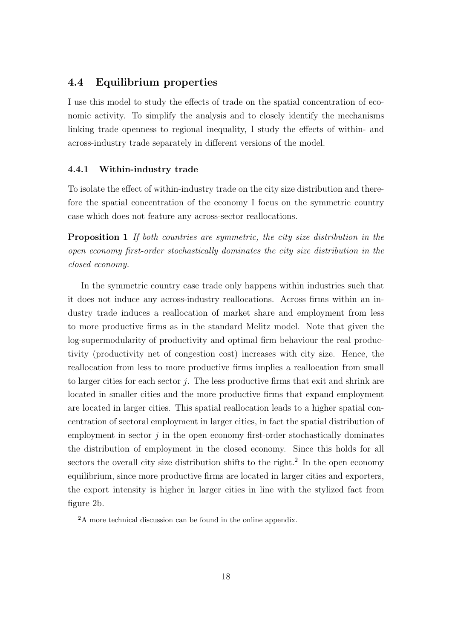## 4.4 Equilibrium properties

I use this model to study the effects of trade on the spatial concentration of economic activity. To simplify the analysis and to closely identify the mechanisms linking trade openness to regional inequality, I study the effects of within- and across-industry trade separately in different versions of the model.

#### 4.4.1 Within-industry trade

To isolate the effect of within-industry trade on the city size distribution and therefore the spatial concentration of the economy I focus on the symmetric country case which does not feature any across-sector reallocations.

Proposition 1 If both countries are symmetric, the city size distribution in the open economy first-order stochastically dominates the city size distribution in the closed economy.

In the symmetric country case trade only happens within industries such that it does not induce any across-industry reallocations. Across firms within an industry trade induces a reallocation of market share and employment from less to more productive firms as in the standard Melitz model. Note that given the log-supermodularity of productivity and optimal firm behaviour the real productivity (productivity net of congestion cost) increases with city size. Hence, the reallocation from less to more productive firms implies a reallocation from small to larger cities for each sector  $j$ . The less productive firms that exit and shrink are located in smaller cities and the more productive firms that expand employment are located in larger cities. This spatial reallocation leads to a higher spatial concentration of sectoral employment in larger cities, in fact the spatial distribution of employment in sector  $j$  in the open economy first-order stochastically dominates the distribution of employment in the closed economy. Since this holds for all sectors the overall city size distribution shifts to the right.<sup>2</sup> In the open economy equilibrium, since more productive firms are located in larger cities and exporters, the export intensity is higher in larger cities in line with the stylized fact from figure 2b.

 $2A$  more technical discussion can be found in the online appendix.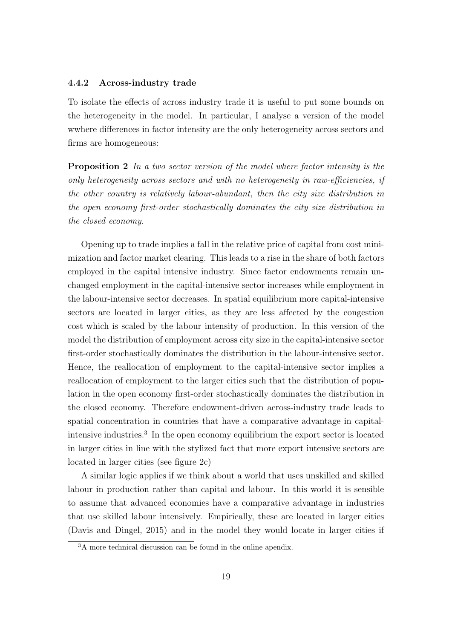#### 4.4.2 Across-industry trade

To isolate the effects of across industry trade it is useful to put some bounds on the heterogeneity in the model. In particular, I analyse a version of the model wwhere differences in factor intensity are the only heterogeneity across sectors and firms are homogeneous:

**Proposition 2** In a two sector version of the model where factor intensity is the only heterogeneity across sectors and with no heterogeneity in raw-efficiencies, if the other country is relatively labour-abundant, then the city size distribution in the open economy first-order stochastically dominates the city size distribution in the closed economy.

Opening up to trade implies a fall in the relative price of capital from cost minimization and factor market clearing. This leads to a rise in the share of both factors employed in the capital intensive industry. Since factor endowments remain unchanged employment in the capital-intensive sector increases while employment in the labour-intensive sector decreases. In spatial equilibrium more capital-intensive sectors are located in larger cities, as they are less affected by the congestion cost which is scaled by the labour intensity of production. In this version of the model the distribution of employment across city size in the capital-intensive sector first-order stochastically dominates the distribution in the labour-intensive sector. Hence, the reallocation of employment to the capital-intensive sector implies a reallocation of employment to the larger cities such that the distribution of population in the open economy first-order stochastically dominates the distribution in the closed economy. Therefore endowment-driven across-industry trade leads to spatial concentration in countries that have a comparative advantage in capitalintensive industries.<sup>3</sup> In the open economy equilibrium the export sector is located in larger cities in line with the stylized fact that more export intensive sectors are located in larger cities (see figure 2c)

A similar logic applies if we think about a world that uses unskilled and skilled labour in production rather than capital and labour. In this world it is sensible to assume that advanced economies have a comparative advantage in industries that use skilled labour intensively. Empirically, these are located in larger cities (Davis and Dingel, 2015) and in the model they would locate in larger cities if

 $3A$  more technical discussion can be found in the online apendix.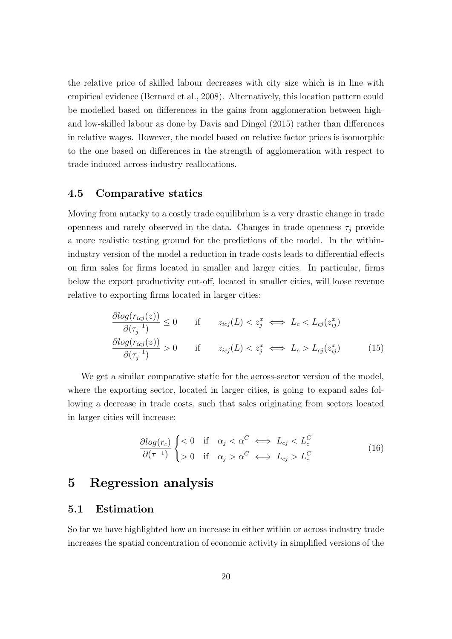the relative price of skilled labour decreases with city size which is in line with empirical evidence (Bernard et al., 2008). Alternatively, this location pattern could be modelled based on differences in the gains from agglomeration between highand low-skilled labour as done by Davis and Dingel (2015) rather than differences in relative wages. However, the model based on relative factor prices is isomorphic to the one based on differences in the strength of agglomeration with respect to trade-induced across-industry reallocations.

## 4.5 Comparative statics

Moving from autarky to a costly trade equilibrium is a very drastic change in trade openness and rarely observed in the data. Changes in trade openness  $\tau_i$  provide a more realistic testing ground for the predictions of the model. In the withinindustry version of the model a reduction in trade costs leads to differential effects on firm sales for firms located in smaller and larger cities. In particular, firms below the export productivity cut-off, located in smaller cities, will loose revenue relative to exporting firms located in larger cities:

$$
\frac{\partial \log(r_{icj}(z))}{\partial (\tau_j^{-1})} \le 0 \quad \text{if} \quad z_{icj}(L) < z_j^x \iff L_c < L_{cj}(z_{ij}^x)
$$
\n
$$
\frac{\partial \log(r_{icj}(z))}{\partial (\tau_j^{-1})} > 0 \quad \text{if} \quad z_{icj}(L) < z_j^x \iff L_c > L_{cj}(z_{ij}^x) \tag{15}
$$

We get a similar comparative static for the across-sector version of the model, where the exporting sector, located in larger cities, is going to expand sales following a decrease in trade costs, such that sales originating from sectors located in larger cities will increase:

$$
\frac{\partial \log(r_c)}{\partial (\tau^{-1})} \begin{cases} < 0 & \text{if } \alpha_j < \alpha^C \iff L_{cj} < L_c^C \\ > 0 & \text{if } \alpha_j > \alpha^C \iff L_{cj} > L_c^C \end{cases} \tag{16}
$$

# 5 Regression analysis

### 5.1 Estimation

So far we have highlighted how an increase in either within or across industry trade increases the spatial concentration of economic activity in simplified versions of the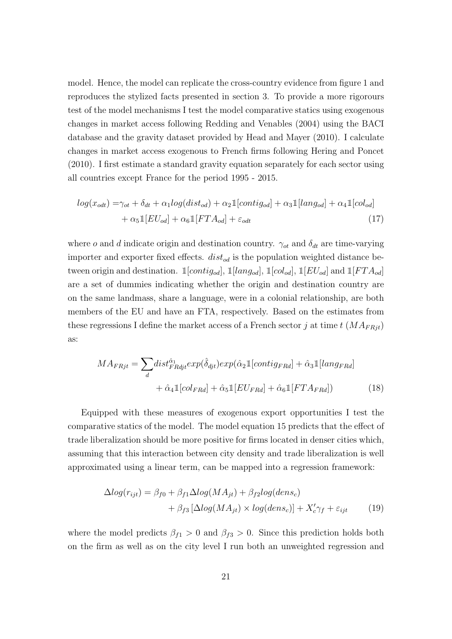model. Hence, the model can replicate the cross-country evidence from figure 1 and reproduces the stylized facts presented in section 3. To provide a more rigorours test of the model mechanisms I test the model comparative statics using exogenous changes in market access following Redding and Venables (2004) using the BACI database and the gravity dataset provided by Head and Mayer (2010). I calculate changes in market access exogenous to French firms following Hering and Poncet (2010). I first estimate a standard gravity equation separately for each sector using all countries except France for the period 1995 - 2015.

$$
log(x_{odt}) = \gamma_{ot} + \delta_{dt} + \alpha_1 log(dist_{od}) + \alpha_2 \mathbb{1}[contig_{od}] + \alpha_3 \mathbb{1}[lang_{od}] + \alpha_4 \mathbb{1}[col_{od}]
$$
  
+  $\alpha_5 \mathbb{1}[EU_{od}] + \alpha_6 \mathbb{1}[FTA_{od}] + \varepsilon_{odt}$  (17)

where o and d indicate origin and destination country.  $\gamma_{ot}$  and  $\delta_{dt}$  are time-varying importer and exporter fixed effects.  $dist_{od}$  is the population weighted distance between origin and destination.  $\mathbb{1}[contig_{od}]$ ,  $\mathbb{1}[lang_{od}]$ ,  $\mathbb{1}[col_{od}]$ ,  $\mathbb{1}[EU_{od}]$  and  $\mathbb{1}[FTA_{od}]$ are a set of dummies indicating whether the origin and destination country are on the same landmass, share a language, were in a colonial relationship, are both members of the EU and have an FTA, respectively. Based on the estimates from these regressions I define the market access of a French sector j at time  $t$  ( $MA_{FRit}$ ) as:

$$
MA_{FRjt} = \sum_{d} dist_{FRdj}^{\hat{\alpha}_{1}} exp(\hat{\delta}_{djt}) exp(\hat{\alpha}_{2} \mathbb{1}[contig_{FRd}] + \hat{\alpha}_{3} \mathbb{1}[lang_{FRd}] + \hat{\alpha}_{4} \mathbb{1}[col_{FRd}] + \hat{\alpha}_{5} \mathbb{1}[EU_{FRd}] + \hat{\alpha}_{6} \mathbb{1}[FTA_{FRd}])
$$
(18)

Equipped with these measures of exogenous export opportunities I test the comparative statics of the model. The model equation 15 predicts that the effect of trade liberalization should be more positive for firms located in denser cities which, assuming that this interaction between city density and trade liberalization is well approximated using a linear term, can be mapped into a regression framework:

$$
\Delta log(r_{ijt}) = \beta_{f0} + \beta_{f1} \Delta log(MA_{jt}) + \beta_{f2} log(dens_c) + \beta_{f3} [\Delta log(MA_{jt}) \times log(dens_c)] + X_c' \gamma_f + \varepsilon_{ijt}
$$
(19)

where the model predicts  $\beta_{f1} > 0$  and  $\beta_{f3} > 0$ . Since this prediction holds both on the firm as well as on the city level I run both an unweighted regression and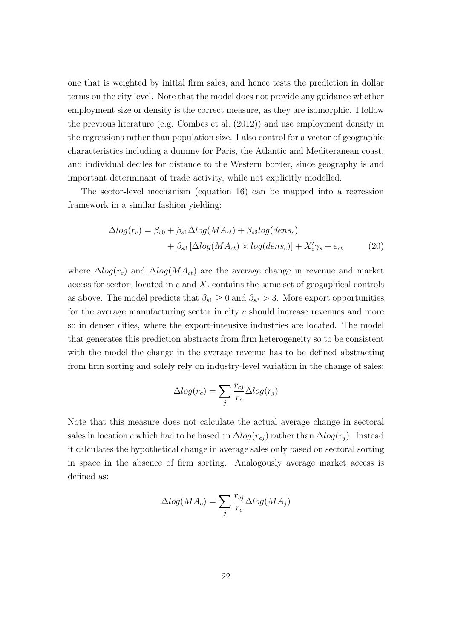one that is weighted by initial firm sales, and hence tests the prediction in dollar terms on the city level. Note that the model does not provide any guidance whether employment size or density is the correct measure, as they are isomorphic. I follow the previous literature (e.g. Combes et al. (2012)) and use employment density in the regressions rather than population size. I also control for a vector of geographic characteristics including a dummy for Paris, the Atlantic and Mediteranean coast, and individual deciles for distance to the Western border, since geography is and important determinant of trade activity, while not explicitly modelled.

The sector-level mechanism (equation 16) can be mapped into a regression framework in a similar fashion yielding:

$$
\Delta log(r_c) = \beta_{s0} + \beta_{s1} \Delta log(MA_{ct}) + \beta_{s2} log(dens_c)
$$

$$
+ \beta_{s3} [\Delta log(MA_{ct}) \times log(dens_c)] + X_c' \gamma_s + \varepsilon_{ct}
$$
(20)

where  $\Delta log(r_c)$  and  $\Delta log(MA_{ct})$  are the average change in revenue and market access for sectors located in  $c$  and  $X_c$  contains the same set of geogaphical controls as above. The model predicts that  $\beta_{s1} \geq 0$  and  $\beta_{s3} > 3$ . More export opportunities for the average manufacturing sector in city c should increase revenues and more so in denser cities, where the export-intensive industries are located. The model that generates this prediction abstracts from firm heterogeneity so to be consistent with the model the change in the average revenue has to be defined abstracting from firm sorting and solely rely on industry-level variation in the change of sales:

$$
\Delta log(r_c) = \sum_j \frac{r_{cj}}{r_c} \Delta log(r_j)
$$

Note that this measure does not calculate the actual average change in sectoral sales in location c which had to be based on  $\Delta log(r_{ci})$  rather than  $\Delta log(r_i)$ . Instead it calculates the hypothetical change in average sales only based on sectoral sorting in space in the absence of firm sorting. Analogously average market access is defined as:

$$
\Delta log(MA_c) = \sum_{j} \frac{r_{cj}}{r_c} \Delta log(MA_j)
$$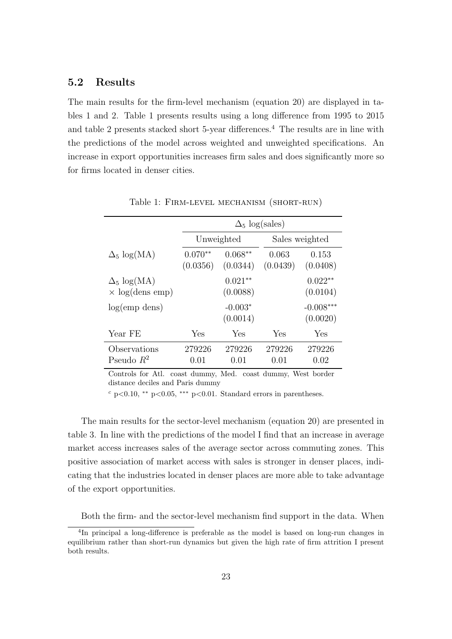## 5.2 Results

The main results for the firm-level mechanism (equation 20) are displayed in tables 1 and 2. Table 1 presents results using a long difference from 1995 to 2015 and table 2 presents stacked short  $5$ -year differences.<sup>4</sup> The results are in line with the predictions of the model across weighted and unweighted specifications. An increase in export opportunities increases firm sales and does significantly more so for firms located in denser cities.

|                                               | $\Delta_5 \log(sales)$ |                       |                   |                         |  |  |  |  |
|-----------------------------------------------|------------------------|-----------------------|-------------------|-------------------------|--|--|--|--|
|                                               |                        |                       |                   |                         |  |  |  |  |
|                                               |                        | Unweighted            | Sales weighted    |                         |  |  |  |  |
| $\Delta_5 \log(MA)$                           | $0.070**$<br>(0.0356)  | $0.068**$<br>(0.0344) | 0.063<br>(0.0439) | 0.153<br>(0.0408)       |  |  |  |  |
| $\Delta_5 \log(MA)$<br>$\times$ log(dens emp) |                        | $0.021**$<br>(0.0088) |                   | $0.022**$<br>(0.0104)   |  |  |  |  |
| log(emp)                                      |                        | $-0.003*$<br>(0.0014) |                   | $-0.008***$<br>(0.0020) |  |  |  |  |
| Year FE                                       | Yes                    | Yes                   | Yes               | Yes                     |  |  |  |  |
| Observations<br>Pseudo $R^2$                  | 279226<br>0.01         | 279226<br>0.01        | 279226<br>0.01    | 279226<br>0.02          |  |  |  |  |

Table 1: Firm-level mechanism (short-run)

Controls for Atl. coast dummy, Med. coast dummy, West border distance deciles and Paris dummy

 $c$  p<0.10, \*\* p<0.05, \*\*\* p<0.01. Standard errors in parentheses.

The main results for the sector-level mechanism (equation 20) are presented in table 3. In line with the predictions of the model I find that an increase in average market access increases sales of the average sector across commuting zones. This positive association of market access with sales is stronger in denser places, indicating that the industries located in denser places are more able to take advantage of the export opportunities.

Both the firm- and the sector-level mechanism find support in the data. When

<sup>&</sup>lt;sup>4</sup>In principal a long-difference is preferable as the model is based on long-run changes in equilibrium rather than short-run dynamics but given the high rate of firm attrition I present both results.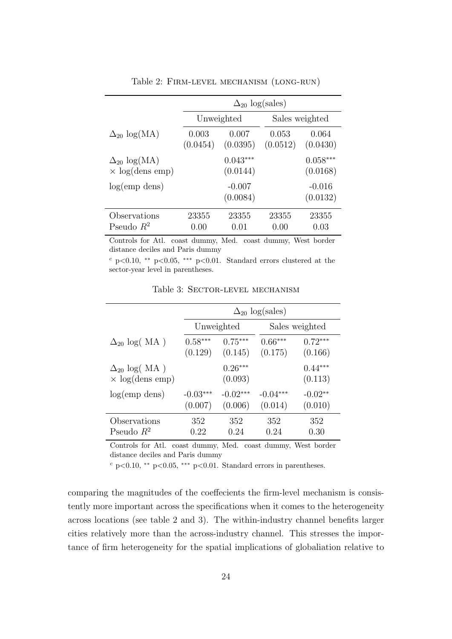|                                                 |                   |                        | $\Delta_{20}$ log(sales) |                        |  |  |
|-------------------------------------------------|-------------------|------------------------|--------------------------|------------------------|--|--|
|                                                 |                   | Unweighted             |                          | Sales weighted         |  |  |
| $\Delta_{20}$ log(MA)                           | 0.003<br>(0.0454) | 0.007<br>(0.0395)      | 0.053<br>(0.0512)        | 0.064<br>(0.0430)      |  |  |
| $\Delta_{20}$ log(MA)<br>$\times$ log(dens emp) |                   | $0.043***$<br>(0.0144) |                          | $0.058***$<br>(0.0168) |  |  |
| $log(emp \text{ dens})$                         |                   | $-0.007$<br>(0.0084)   |                          | $-0.016$<br>(0.0132)   |  |  |
| Observations<br>Pseudo $R^2$                    | 23355<br>0.00     | 23355<br>(0.01)        | 23355<br>(0.00)          | 23355<br>0.03          |  |  |

Table 2: Firm-level mechanism (long-run)

Controls for Atl. coast dummy, Med. coast dummy, West border distance deciles and Paris dummy

 $c$  p<0.10, \*\* p<0.05, \*\*\* p<0.01. Standard errors clustered at the sector-year level in parentheses.

|                                                 | $\Delta_{20}$ log(sales) |                      |            |                      |  |  |  |  |
|-------------------------------------------------|--------------------------|----------------------|------------|----------------------|--|--|--|--|
|                                                 |                          | Unweighted           |            | Sales weighted       |  |  |  |  |
| $\Delta_{20}$ log(MA)                           | $0.58***$                | $0.75***$            | $0.66***$  | $0.72***$            |  |  |  |  |
|                                                 | (0.129)                  | (0.145)              | (0.175)    | (0.166)              |  |  |  |  |
| $\Delta_{20}$ log(MA)<br>$\times$ log(dens emp) |                          | $0.26***$<br>(0.093) |            | $0.44***$<br>(0.113) |  |  |  |  |
| log(emp)                                        | $-0.03***$               | $-0.02***$           | $-0.04***$ | $-0.02**$            |  |  |  |  |
|                                                 | (0.007)                  | (0.006)              | (0.014)    | (0.010)              |  |  |  |  |
| Observations                                    | 352                      | 352                  | 352        | 352                  |  |  |  |  |
| Pseudo $R^2$                                    | $0.22\,$                 | 0.24                 | 0.24       | 0.30                 |  |  |  |  |

Table 3: Sector-level mechanism

Controls for Atl. coast dummy, Med. coast dummy, West border distance deciles and Paris dummy

 $c$  p<0.10, \*\* p<0.05, \*\*\* p<0.01. Standard errors in parentheses.

comparing the magnitudes of the coeffecients the firm-level mechanism is consistently more important across the specifications when it comes to the heterogeneity across locations (see table 2 and 3). The within-industry channel benefits larger cities relatively more than the across-industry channel. This stresses the importance of firm heterogeneity for the spatial implications of globaliation relative to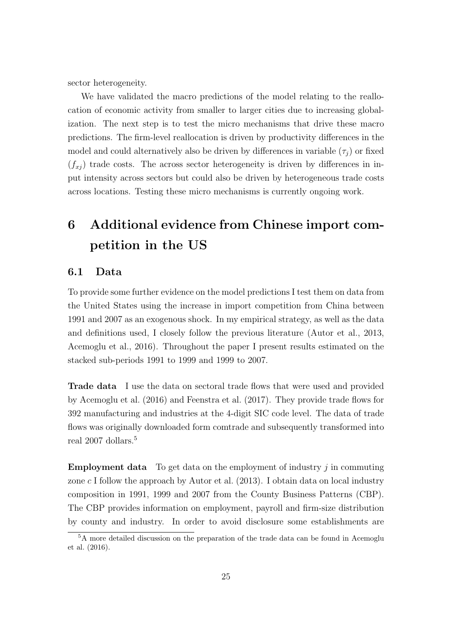sector heterogeneity.

We have validated the macro predictions of the model relating to the reallocation of economic activity from smaller to larger cities due to increasing globalization. The next step is to test the micro mechanisms that drive these macro predictions. The firm-level reallocation is driven by productivity differences in the model and could alternatively also be driven by differences in variable  $(\tau_j)$  or fixed  $(f_{xj})$  trade costs. The across sector heterogeneity is driven by differences in input intensity across sectors but could also be driven by heterogeneous trade costs across locations. Testing these micro mechanisms is currently ongoing work.

# 6 Additional evidence from Chinese import competition in the US

### 6.1 Data

To provide some further evidence on the model predictions I test them on data from the United States using the increase in import competition from China between 1991 and 2007 as an exogenous shock. In my empirical strategy, as well as the data and definitions used, I closely follow the previous literature (Autor et al., 2013, Acemoglu et al., 2016). Throughout the paper I present results estimated on the stacked sub-periods 1991 to 1999 and 1999 to 2007.

Trade data I use the data on sectoral trade flows that were used and provided by Acemoglu et al. (2016) and Feenstra et al. (2017). They provide trade flows for 392 manufacturing and industries at the 4-digit SIC code level. The data of trade flows was originally downloaded form comtrade and subsequently transformed into real 2007 dollars.<sup>5</sup>

**Employment data** To get data on the employment of industry  $j$  in commuting zone  $c \cdot I$  follow the approach by Autor et al. (2013). I obtain data on local industry composition in 1991, 1999 and 2007 from the County Business Patterns (CBP). The CBP provides information on employment, payroll and firm-size distribution by county and industry. In order to avoid disclosure some establishments are

<sup>5</sup>A more detailed discussion on the preparation of the trade data can be found in Acemoglu et al. (2016).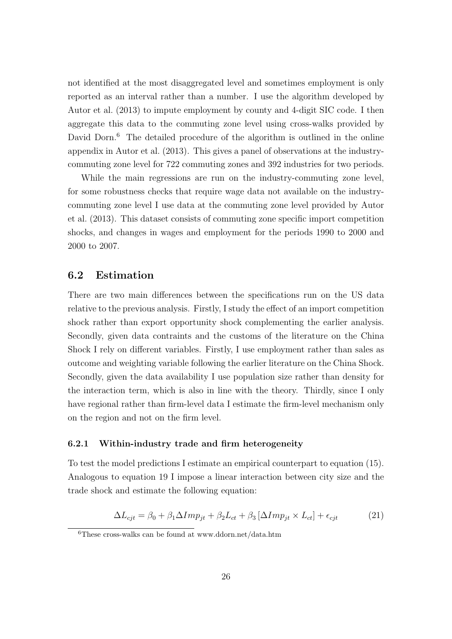not identified at the most disaggregated level and sometimes employment is only reported as an interval rather than a number. I use the algorithm developed by Autor et al. (2013) to impute employment by county and 4-digit SIC code. I then aggregate this data to the commuting zone level using cross-walks provided by David Dorn.<sup>6</sup> The detailed procedure of the algorithm is outlined in the online appendix in Autor et al. (2013). This gives a panel of observations at the industrycommuting zone level for 722 commuting zones and 392 industries for two periods.

While the main regressions are run on the industry-commuting zone level, for some robustness checks that require wage data not available on the industrycommuting zone level I use data at the commuting zone level provided by Autor et al. (2013). This dataset consists of commuting zone specific import competition shocks, and changes in wages and employment for the periods 1990 to 2000 and 2000 to 2007.

### 6.2 Estimation

There are two main differences between the specifications run on the US data relative to the previous analysis. Firstly, I study the effect of an import competition shock rather than export opportunity shock complementing the earlier analysis. Secondly, given data contraints and the customs of the literature on the China Shock I rely on different variables. Firstly, I use employment rather than sales as outcome and weighting variable following the earlier literature on the China Shock. Secondly, given the data availability I use population size rather than density for the interaction term, which is also in line with the theory. Thirdly, since I only have regional rather than firm-level data I estimate the firm-level mechanism only on the region and not on the firm level.

#### 6.2.1 Within-industry trade and firm heterogeneity

To test the model predictions I estimate an empirical counterpart to equation (15). Analogous to equation 19 I impose a linear interaction between city size and the trade shock and estimate the following equation:

$$
\Delta L_{cjt} = \beta_0 + \beta_1 \Delta Imp_{jt} + \beta_2 L_{ct} + \beta_3 \left[ \Delta Imp_{jt} \times L_{ct} \right] + \epsilon_{cjt}
$$
\n(21)

<sup>6</sup>These cross-walks can be found at www.ddorn.net/data.htm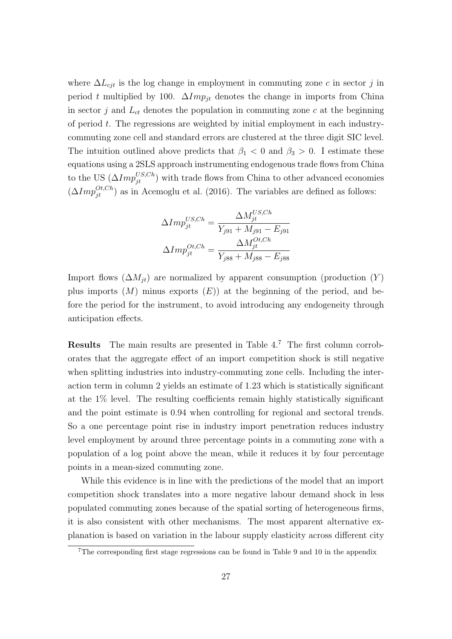where  $\Delta L_{cjt}$  is the log change in employment in commuting zone c in sector j in period t multiplied by 100.  $\Delta Imp_{it}$  denotes the change in imports from China in sector  $j$  and  $L_{ct}$  denotes the population in commuting zone  $c$  at the beginning of period  $t$ . The regressions are weighted by initial employment in each industrycommuting zone cell and standard errors are clustered at the three digit SIC level. The intuition outlined above predicts that  $\beta_1 < 0$  and  $\beta_3 > 0$ . I estimate these equations using a 2SLS approach instrumenting endogenous trade flows from China to the US  $(\Delta Imp_{jt}^{US,Ch})$  with trade flows from China to other advanced economies  $(\Delta Imp_{jt}^{Ot, Ch})$  as in Acemoglu et al. (2016). The variables are defined as follows:

$$
\Delta Imp_{jt}^{US,Ch} = \frac{\Delta M_{jt}^{US,Ch}}{Y_{j91} + M_{j91} - E_{j91}}
$$

$$
\Delta Imp_{jt}^{OL,Ch} = \frac{\Delta M_{jt}^{OL,Ch}}{Y_{j88} + M_{j88} - E_{j88}}
$$

Import flows  $(\Delta M_{jt})$  are normalized by apparent consumption (production  $(Y)$ plus imports  $(M)$  minus exports  $(E)$  at the beginning of the period, and before the period for the instrument, to avoid introducing any endogeneity through anticipation effects.

Results The main results are presented in Table 4.<sup>7</sup> The first column corroborates that the aggregate effect of an import competition shock is still negative when splitting industries into industry-commuting zone cells. Including the interaction term in column 2 yields an estimate of 1.23 which is statistically significant at the 1% level. The resulting coefficients remain highly statistically significant and the point estimate is 0.94 when controlling for regional and sectoral trends. So a one percentage point rise in industry import penetration reduces industry level employment by around three percentage points in a commuting zone with a population of a log point above the mean, while it reduces it by four percentage points in a mean-sized commuting zone.

While this evidence is in line with the predictions of the model that an import competition shock translates into a more negative labour demand shock in less populated commuting zones because of the spatial sorting of heterogeneous firms, it is also consistent with other mechanisms. The most apparent alternative explanation is based on variation in the labour supply elasticity across different city

<sup>7</sup>The corresponding first stage regressions can be found in Table 9 and 10 in the appendix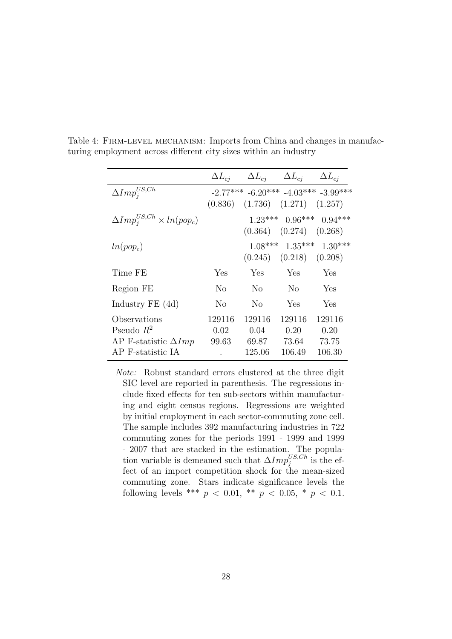|                                                  |                | $\Delta L_{ci}$ $\Delta L_{cj}$ $\Delta L_{cj}$ $\Delta L_{cj}$ |                               |                                                            |
|--------------------------------------------------|----------------|-----------------------------------------------------------------|-------------------------------|------------------------------------------------------------|
| $\Delta Imp^{US,Ch}_i$                           | (0.836)        |                                                                 | $(1.736)$ $(1.271)$ $(1.257)$ | $-2.77***$ $-6.20***$ $-4.03***$ $-3.99***$                |
| $\Delta Imp_i^{US,Ch} \times ln(pop_c)$          |                |                                                                 |                               | $1.23***$ 0.96*** 0.94***<br>$(0.364)$ $(0.274)$ $(0.268)$ |
| $ln(pop_c)$                                      |                |                                                                 | $(0.245)$ $(0.218)$ $(0.208)$ | $1.08***$ $1.35***$ $1.30***$                              |
| Time FE                                          | Yes            | Yes                                                             | Yes                           | Yes                                                        |
| Region FE                                        | N <sub>0</sub> | No -                                                            | No                            | Yes                                                        |
| Industry $FE(4d)$                                | N <sub>0</sub> | N <sub>0</sub>                                                  | Yes                           | Yes                                                        |
| Observations<br>Pseudo $R^2$                     | 129116<br>0.02 | 129116<br>0.04                                                  | 129116<br>0.20                | 129116<br>0.20                                             |
| AP F-statistic $\Delta Imp$<br>AP F-statistic IA | 99.63          | 69.87<br>125.06                                                 | 73.64<br>106.49               | 73.75<br>106.30                                            |

Table 4: FIRM-LEVEL MECHANISM: Imports from China and changes in manufacturing employment across different city sizes within an industry

Note: Robust standard errors clustered at the three digit SIC level are reported in parenthesis. The regressions include fixed effects for ten sub-sectors within manufacturing and eight census regions. Regressions are weighted by initial employment in each sector-commuting zone cell. The sample includes 392 manufacturing industries in 722 commuting zones for the periods 1991 - 1999 and 1999 - 2007 that are stacked in the estimation. The population variable is demeaned such that  $\Delta Imp_j^{US,Ch}$  is the effect of an import competition shock for the mean-sized commuting zone. Stars indicate significance levels the following levels \*\*\*  $p < 0.01$ , \*\*  $p < 0.05$ , \*  $p < 0.1$ .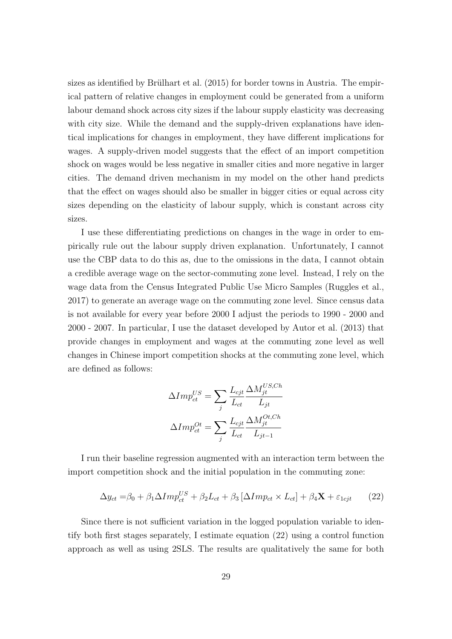sizes as identified by Brülhart et al.  $(2015)$  for border towns in Austria. The empirical pattern of relative changes in employment could be generated from a uniform labour demand shock across city sizes if the labour supply elasticity was decreasing with city size. While the demand and the supply-driven explanations have identical implications for changes in employment, they have different implications for wages. A supply-driven model suggests that the effect of an import competition shock on wages would be less negative in smaller cities and more negative in larger cities. The demand driven mechanism in my model on the other hand predicts that the effect on wages should also be smaller in bigger cities or equal across city sizes depending on the elasticity of labour supply, which is constant across city sizes.

I use these differentiating predictions on changes in the wage in order to empirically rule out the labour supply driven explanation. Unfortunately, I cannot use the CBP data to do this as, due to the omissions in the data, I cannot obtain a credible average wage on the sector-commuting zone level. Instead, I rely on the wage data from the Census Integrated Public Use Micro Samples (Ruggles et al., 2017) to generate an average wage on the commuting zone level. Since census data is not available for every year before 2000 I adjust the periods to 1990 - 2000 and 2000 - 2007. In particular, I use the dataset developed by Autor et al. (2013) that provide changes in employment and wages at the commuting zone level as well changes in Chinese import competition shocks at the commuting zone level, which are defined as follows:

$$
\Delta Imp_{ct}^{US} = \sum_{j} \frac{L_{cjt}}{L_{ct}} \frac{\Delta M_{jt}^{US,Ch}}{L_{jt}}
$$

$$
\Delta Imp_{ct}^{Ot} = \sum_{j} \frac{L_{cjt}}{L_{ct}} \frac{\Delta M_{jt}^{Ot,Ch}}{L_{jt-1}}
$$

I run their baseline regression augmented with an interaction term between the import competition shock and the initial population in the commuting zone:

$$
\Delta y_{ct} = \beta_0 + \beta_1 \Delta Imp_{ct}^{US} + \beta_2 L_{ct} + \beta_3 [\Delta Imp_{ct} \times L_{ct}] + \beta_4 \mathbf{X} + \varepsilon_{1cjt} \tag{22}
$$

Since there is not sufficient variation in the logged population variable to identify both first stages separately, I estimate equation (22) using a control function approach as well as using 2SLS. The results are qualitatively the same for both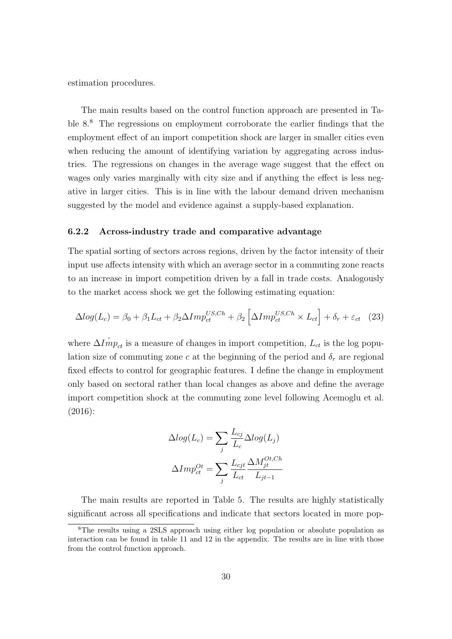estimation procedures.

The main results based on the control function approach are presented in Table 8.<sup>8</sup> The regressions on employment corroborate the earlier findings that the employment effect of an import competition shock are larger in smaller cities even when reducing the amount of identifying variation by aggregating across industries. The regressions on changes in the average wage suggest that the effect on wages only varies marginally with city size and if anything the effect is less negative in larger cities. This is in line with the labour demand driven mechanism suggested by the model and evidence against a supply-based explanation.

#### 6.2.2 Across-industry trade and comparative advantage

The spatial sorting of sectors across regions, driven by the factor intensity of their input use affects intensity with which an average sector in a commuting zone reacts to an increase in import competition driven by a fall in trade costs. Analogously to the market access shock we get the following estimating equation:

$$
\Delta log(L_c) = \beta_0 + \beta_1 L_{ct} + \beta_2 \Delta Imp_{ct}^{US, Ch} + \beta_2 \left[ \Delta Imp_{ct}^{US, Ch} \times L_{ct} \right] + \delta_r + \varepsilon_{ct} \quad (23)
$$

where  $\Delta I_{mpt}$  is a measure of changes in import competition,  $L_{ct}$  is the log population size of commuting zone c at the beginning of the period and  $\delta_r$  are regional fixed effects to control for geographic features. I define the change in employment only based on sectoral rather than local changes as above and define the average import competition shock at the commuting zone level following Acemoglu et al. (2016):

$$
\Delta log(L_c) = \sum_{j} \frac{L_{cj}}{L_c} \Delta log(L_j)
$$

$$
\Delta Imp_{ct}^{Ot} = \sum_{j} \frac{L_{cjt}}{L_{ct}} \frac{\Delta M_{jt}^{Ot, Ch}}{L_{jt-1}}
$$

The main results are reported in Table 5. The results are highly statistically significant across all specifications and indicate that sectors located in more pop-

<sup>8</sup>The results using a 2SLS approach using either log population or absolute population as interaction can be found in table 11 and 12 in the appendix. The results are in line with those from the control function approach.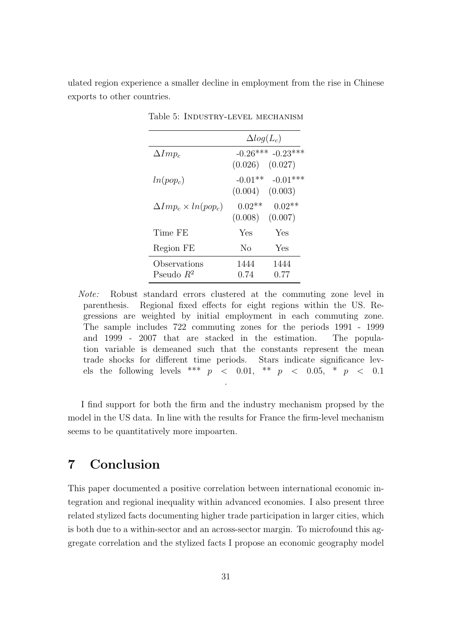ulated region experience a smaller decline in employment from the rise in Chinese exports to other countries.

|                                 | $\Delta log(L_c)$                |                                  |
|---------------------------------|----------------------------------|----------------------------------|
| $\Delta Imp_c$                  | (0.026)                          | $-0.26***$ $-0.23***$<br>(0.027) |
| $ln(pop_c)$                     | $-0.01**$<br>$(0.004)$ $(0.003)$ | $-0.01***$                       |
| $\Delta Imp_c \times ln(pop_c)$ | $0.02**$<br>(0.008)              | $0.02**$<br>(0.007)              |
| Time FE                         | Yes                              | Yes                              |
| Region FE                       | No                               | Yes                              |
| Observations<br>Pseudo $R^2$    | 1444<br>0.74                     | 1444<br>0.77                     |

Table 5: Industry-level mechanism

Note: Robust standard errors clustered at the commuting zone level in parenthesis. Regional fixed effects for eight regions within the US. Regressions are weighted by initial employment in each commuting zone. The sample includes 722 commuting zones for the periods 1991 - 1999 and 1999 - 2007 that are stacked in the estimation. The population variable is demeaned such that the constants represent the mean trade shocks for different time periods. Stars indicate significance levels the following levels \*\*\*  $p \le 0.01$ , \*\*  $p \le 0.05$ , \*  $p \le 0.1$ .

I find support for both the firm and the industry mechanism propsed by the model in the US data. In line with the results for France the firm-level mechanism seems to be quantitatively more impoarten.

# 7 Conclusion

This paper documented a positive correlation between international economic integration and regional inequality within advanced economies. I also present three related stylized facts documenting higher trade participation in larger cities, which is both due to a within-sector and an across-sector margin. To microfound this aggregate correlation and the stylized facts I propose an economic geography model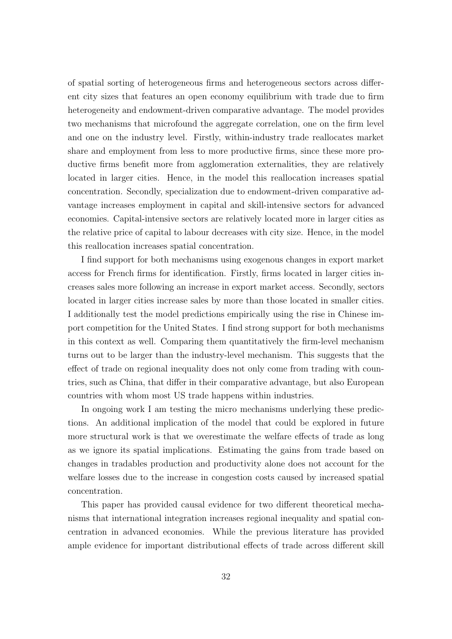of spatial sorting of heterogeneous firms and heterogeneous sectors across different city sizes that features an open economy equilibrium with trade due to firm heterogeneity and endowment-driven comparative advantage. The model provides two mechanisms that microfound the aggregate correlation, one on the firm level and one on the industry level. Firstly, within-industry trade reallocates market share and employment from less to more productive firms, since these more productive firms benefit more from agglomeration externalities, they are relatively located in larger cities. Hence, in the model this reallocation increases spatial concentration. Secondly, specialization due to endowment-driven comparative advantage increases employment in capital and skill-intensive sectors for advanced economies. Capital-intensive sectors are relatively located more in larger cities as the relative price of capital to labour decreases with city size. Hence, in the model this reallocation increases spatial concentration.

I find support for both mechanisms using exogenous changes in export market access for French firms for identification. Firstly, firms located in larger cities increases sales more following an increase in export market access. Secondly, sectors located in larger cities increase sales by more than those located in smaller cities. I additionally test the model predictions empirically using the rise in Chinese import competition for the United States. I find strong support for both mechanisms in this context as well. Comparing them quantitatively the firm-level mechanism turns out to be larger than the industry-level mechanism. This suggests that the effect of trade on regional inequality does not only come from trading with countries, such as China, that differ in their comparative advantage, but also European countries with whom most US trade happens within industries.

In ongoing work I am testing the micro mechanisms underlying these predictions. An additional implication of the model that could be explored in future more structural work is that we overestimate the welfare effects of trade as long as we ignore its spatial implications. Estimating the gains from trade based on changes in tradables production and productivity alone does not account for the welfare losses due to the increase in congestion costs caused by increased spatial concentration.

This paper has provided causal evidence for two different theoretical mechanisms that international integration increases regional inequality and spatial concentration in advanced economies. While the previous literature has provided ample evidence for important distributional effects of trade across different skill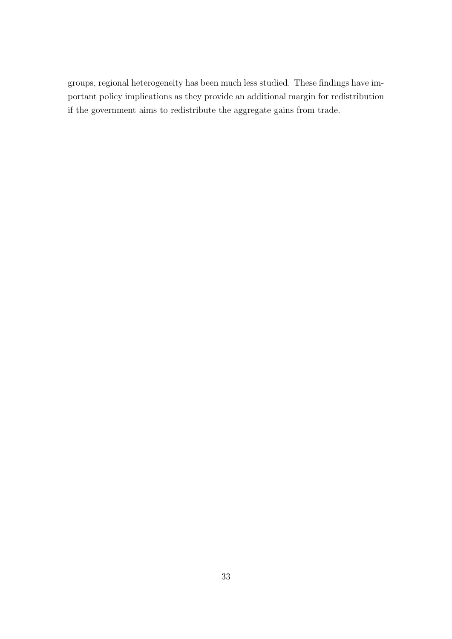groups, regional heterogeneity has been much less studied. These findings have important policy implications as they provide an additional margin for redistribution if the government aims to redistribute the aggregate gains from trade.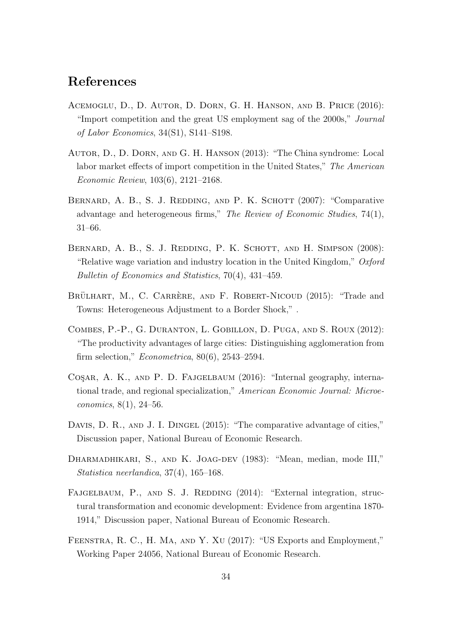# References

- Acemoglu, D., D. Autor, D. Dorn, G. H. Hanson, and B. Price (2016): "Import competition and the great US employment sag of the 2000s," Journal of Labor Economics, 34(S1), S141–S198.
- Autor, D., D. Dorn, and G. H. Hanson (2013): "The China syndrome: Local labor market effects of import competition in the United States," The American Economic Review, 103(6), 2121–2168.
- BERNARD, A. B., S. J. REDDING, AND P. K. SCHOTT (2007): "Comparative advantage and heterogeneous firms," The Review of Economic Studies, 74(1), 31–66.
- BERNARD, A. B., S. J. REDDING, P. K. SCHOTT, AND H. SIMPSON (2008): "Relative wage variation and industry location in the United Kingdom,"  $Oxford$ Bulletin of Economics and Statistics, 70(4), 431–459.
- BRÜLHART, M., C. CARRÈRE, AND F. ROBERT-NICOUD (2015): "Trade and Towns: Heterogeneous Adjustment to a Border Shock," .
- Combes, P.-P., G. Duranton, L. Gobillon, D. Puga, and S. Roux (2012): "The productivity advantages of large cities: Distinguishing agglomeration from firm selection," Econometrica, 80(6), 2543–2594.
- COSAR, A. K., AND P. D. FAJGELBAUM (2016): "Internal geography, international trade, and regional specialization," American Economic Journal: Microeconomics, 8(1), 24–56.
- DAVIS, D. R., AND J. I. DINGEL (2015): "The comparative advantage of cities," Discussion paper, National Bureau of Economic Research.
- DHARMADHIKARI, S., AND K. JOAG-DEV (1983): "Mean, median, mode III," Statistica neerlandica, 37(4), 165–168.
- FAJGELBAUM, P., AND S. J. REDDING (2014): "External integration, structural transformation and economic development: Evidence from argentina 1870- 1914," Discussion paper, National Bureau of Economic Research.
- Feenstra, R. C., H. Ma, and Y. Xu (2017): "US Exports and Employment," Working Paper 24056, National Bureau of Economic Research.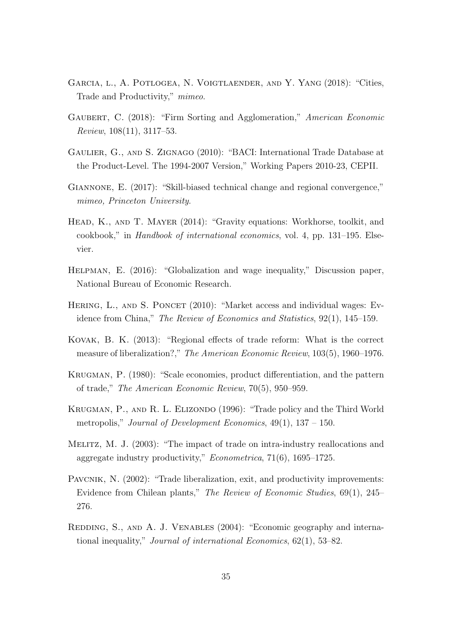- Garcia, l., A. Potlogea, N. Voigtlaender, and Y. Yang (2018): "Cities, Trade and Productivity," mimeo.
- GAUBERT, C. (2018): "Firm Sorting and Agglomeration," American Economic Review, 108(11), 3117–53.
- Gaulier, G., and S. Zignago (2010): "BACI: International Trade Database at the Product-Level. The 1994-2007 Version," Working Papers 2010-23, CEPII.
- Giannone, E. (2017): "Skill-biased technical change and regional convergence," mimeo, Princeton University.
- HEAD, K., AND T. MAYER (2014): "Gravity equations: Workhorse, toolkit, and cookbook," in Handbook of international economics, vol. 4, pp. 131–195. Elsevier.
- Helpman, E. (2016): "Globalization and wage inequality," Discussion paper, National Bureau of Economic Research.
- HERING, L., AND S. PONCET (2010): "Market access and individual wages: Evidence from China," The Review of Economics and Statistics, 92(1), 145–159.
- Kovak, B. K. (2013): "Regional effects of trade reform: What is the correct measure of liberalization?," The American Economic Review, 103(5), 1960–1976.
- Krugman, P. (1980): "Scale economies, product differentiation, and the pattern of trade," The American Economic Review, 70(5), 950–959.
- KRUGMAN, P., AND R. L. ELIZONDO (1996): "Trade policy and the Third World metropolis," Journal of Development Economics,  $49(1)$ ,  $137 - 150$ .
- Melitz, M. J. (2003): "The impact of trade on intra-industry reallocations and aggregate industry productivity," Econometrica, 71(6), 1695–1725.
- PAVCNIK, N.  $(2002)$ : "Trade liberalization, exit, and productivity improvements: Evidence from Chilean plants," The Review of Economic Studies, 69(1), 245– 276.
- REDDING, S., AND A. J. VENABLES (2004): "Economic geography and international inequality," Journal of international Economics, 62(1), 53–82.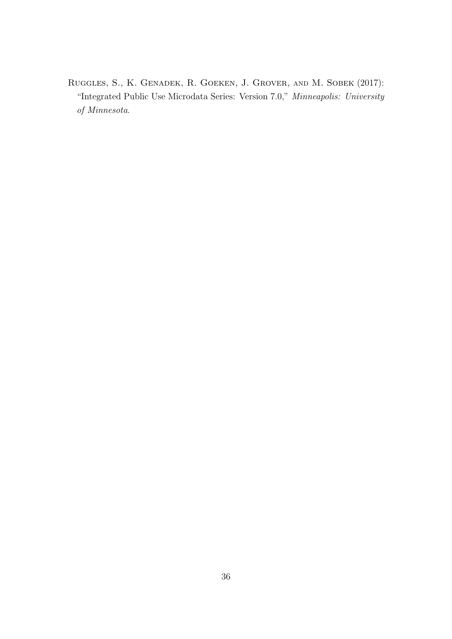Ruggles, S., K. Genadek, R. Goeken, J. Grover, and M. Sobek (2017): "Integrated Public Use Microdata Series: Version 7.0," Minneapolis: University of Minnesota.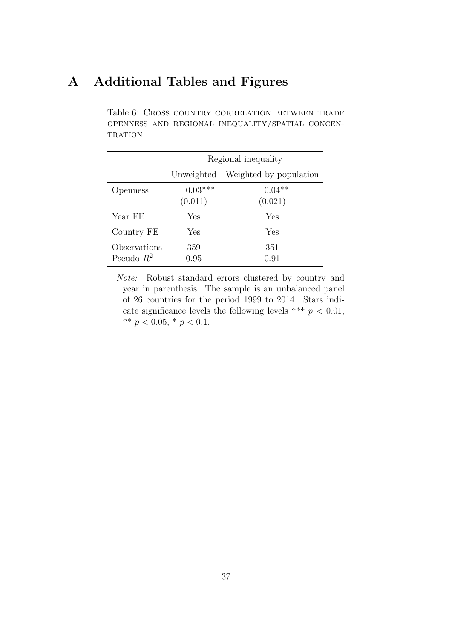# A Additional Tables and Figures

Table 6: Cross country correlation between trade openness and regional inequality/spatial concen- $\operatorname{TRATION}$ 

|                              |                      | Regional inequality    |
|------------------------------|----------------------|------------------------|
|                              | Unweighted           | Weighted by population |
| Openness                     | $0.03***$<br>(0.011) | $0.04**$<br>(0.021)    |
| Year FE                      | Yes                  | Yes                    |
| Country FE                   | Yes                  | Yes                    |
| Observations<br>Pseudo $R^2$ | 359<br>0.95          | 351<br>0.91            |

Note: Robust standard errors clustered by country and year in parenthesis. The sample is an unbalanced panel of 26 countries for the period 1999 to 2014. Stars indicate significance levels the following levels \*\*\*  $p < 0.01$ , \*\*  $p < 0.05$ , \*  $p < 0.1$ .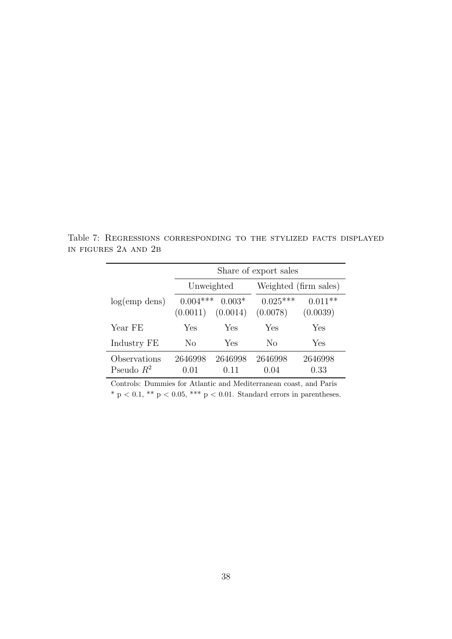Table 7: Regressions corresponding to the stylized facts displayed in figures 2a and 2b

|                              |                        | Share of export sales |                        |                       |  |  |  |  |
|------------------------------|------------------------|-----------------------|------------------------|-----------------------|--|--|--|--|
|                              | Unweighted             |                       | Weighted (firm sales)  |                       |  |  |  |  |
| log(emp)                     | $0.004***$<br>(0.0011) | $0.003*$<br>(0.0014)  | $0.025***$<br>(0.0078) | $0.011**$<br>(0.0039) |  |  |  |  |
| Year FE                      | Yes                    | Yes                   | Yes                    | Yes                   |  |  |  |  |
| Industry FE                  | No                     | Yes                   | No                     | Yes                   |  |  |  |  |
| Observations<br>Pseudo $R^2$ | 2646998<br>0.01        | 2646998<br>0.11       | 2646998<br>0.04        | 2646998<br>0.33       |  |  |  |  |

Controls: Dummies for Atlantic and Mediterranean coast, and Paris  $^{\ast}$  p  $<$  0.1,  $^{\ast\ast}$  p  $<$  0.05,  $^{\ast\ast\ast}$  p  $<$  0.01. Standard errors in parentheses.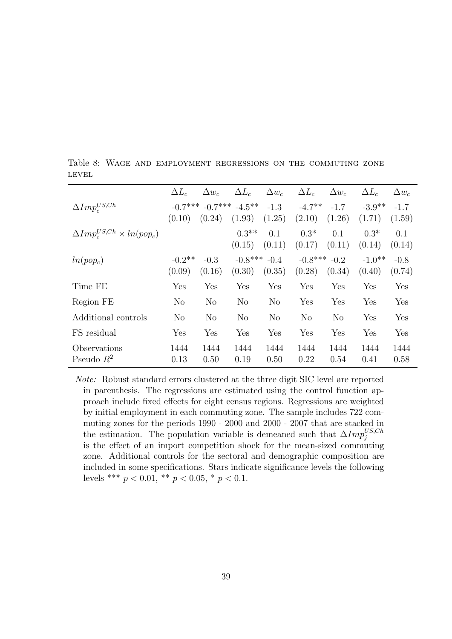|                                         | $\Delta L_c$        | $\Delta w_c$     | $\Delta L_c$                  | $\Delta w_c$     | $\Delta L_c$               | $\Delta w_c$     | $\Delta L_c$        | $\Delta w_c$     |
|-----------------------------------------|---------------------|------------------|-------------------------------|------------------|----------------------------|------------------|---------------------|------------------|
| $\Delta Imp^{US,Ch}_c$                  | $-0.7***$<br>(0.10) | (0.24)           | $-0.7***$ $-4.5***$<br>(1.93) | $-1.3$<br>(1.25) | $-4.7**$<br>(2.10)         | $-1.7$<br>(1.26) | $-3.9**$<br>(1.71)  | $-1.7$<br>(1.59) |
| $\Delta Imp_c^{US,Ch} \times ln(pop_c)$ |                     |                  | $0.3**$<br>(0.15)             | 0.1<br>(0.11)    | $0.3*$<br>(0.17)           | 0.1<br>(0.11)    | $0.3*$<br>(0.14)    | 0.1<br>(0.14)    |
| $ln(pop_c)$                             | $-0.2$ **<br>(0.09) | $-0.3$<br>(0.16) | $-0.8***$<br>(0.30)           | $-0.4$<br>(0.35) | $-0.8***$ $-0.2$<br>(0.28) | (0.34)           | $-1.0$ **<br>(0.40) | $-0.8$<br>(0.74) |
| Time FE                                 | Yes                 | Yes              | Yes                           | Yes              | Yes                        | Yes              | Yes                 | Yes              |
| Region FE                               | $\rm No$            | N <sub>o</sub>   | N <sub>o</sub>                | $\rm No$         | Yes                        | Yes              | Yes                 | Yes              |
| Additional controls                     | N <sub>o</sub>      | N <sub>o</sub>   | N <sub>o</sub>                | N <sub>o</sub>   | N <sub>o</sub>             | N <sub>o</sub>   | Yes                 | Yes              |
| FS residual                             | Yes                 | Yes              | Yes                           | Yes              | Yes                        | Yes              | Yes                 | Yes              |
| Observations<br>Pseudo $R^2$            | 1444<br>0.13        | 1444<br>0.50     | 1444<br>0.19                  | 1444<br>0.50     | 1444<br>0.22               | 1444<br>0.54     | 1444<br>0.41        | 1444<br>0.58     |

Table 8: Wage and employment regressions on the commuting zone **LEVEL** 

Note: Robust standard errors clustered at the three digit SIC level are reported in parenthesis. The regressions are estimated using the control function approach include fixed effects for eight census regions. Regressions are weighted by initial employment in each commuting zone. The sample includes 722 commuting zones for the periods 1990 - 2000 and 2000 - 2007 that are stacked in the estimation. The population variable is demeaned such that  $\Delta Imp_j^{US,Ch}$ is the effect of an import competition shock for the mean-sized commuting zone. Additional controls for the sectoral and demographic composition are included in some specifications. Stars indicate significance levels the following levels \*\*\*  $p < 0.01$ , \*\*  $p < 0.05$ , \*  $p < 0.1$ .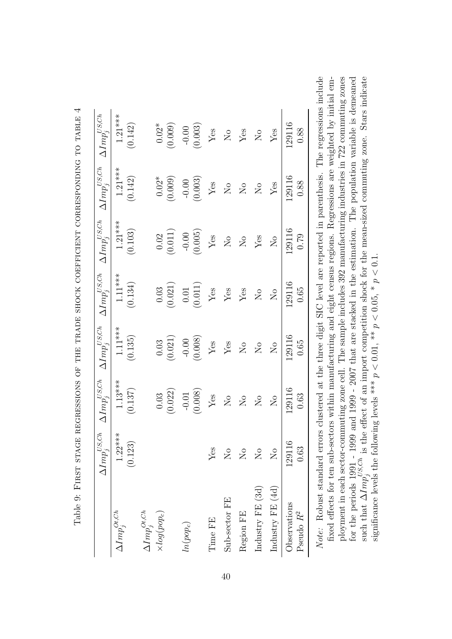|                                                                                                                  | $\Delta Imp_j^{US,Ch}$    | $\Delta Imp^{US,Ch}_i$        | $\Delta Imp^{US,Ch}_i$     | $\Delta Imp^{US,Ch}_i$    | $\Delta Imp^{US,Ch}_i$        | $\Delta Imp^{US,Ch}_i$ | $\Delta Imp^{US,Ch}_i$    |
|------------------------------------------------------------------------------------------------------------------|---------------------------|-------------------------------|----------------------------|---------------------------|-------------------------------|------------------------|---------------------------|
| $\Delta Imp^{Ot,Ch}_j$                                                                                           | $1.22***$<br>(0.123)      | $1.13***$<br>(0.137)          | $1.11***$<br>(0.135)       | $1.11***$<br>(0.134)      | $1.21***$<br>(0.103)          | $1.21***$<br>(0.142)   | $1.21***$<br>(0.142)      |
| $\Delta Imp^{Ot,Ch}_j$<br>$\times log(pop_c)$                                                                    |                           | (0.022)<br>0.03               | (0.021)<br>0.03            | (0.021)<br>$0.03\,$       | (0.011)<br>0.02               | $0.02*$<br>(0.009)     | (0.009)<br>$0.02*$        |
| $ln(pop_c)$                                                                                                      |                           | (0.008)<br>$-0.01$            | (0.008)<br>$-0.00$         | (0.011)<br>0.01           | (0.005)<br>$-0.00$            | (0.003)<br>$-0.00$     | (0.003)<br>$-0.00$        |
| Time FE                                                                                                          | $Y$ es                    | ${\rm Yes}$                   | ${\rm Yes}$                | ${\rm Yes}$               | ${\rm Yes}$                   | $\rm Yes$              | Yes                       |
| Sub-sector FE                                                                                                    | $\mathop{\rm S}\nolimits$ | $\overline{N}_{\overline{O}}$ | Yes                        | ${\rm Yes}$               | $\rm N_{O}$                   | $\overline{N}$         | $\overline{N}$            |
| Region FE                                                                                                        | $\overline{N}$            | $\overline{N}$                | $\overline{N}$             | ${\rm Yes}$               | $\overline{N}$                | $\overline{R}$         | ${\rm Yes}$               |
| Industry FE (3d)                                                                                                 | $\overline{R}$            | $\overline{N}$                | $\overline{N}$             | $\rm \stackrel{\circ}{X}$ | Yes                           | $\overline{N}$         | $\rm \stackrel{\circ}{X}$ |
| Industry FE (4d)                                                                                                 | $\overline{N}$            | $\overline{N}_{\overline{Q}}$ | $\mathcal{S}_{\mathsf{O}}$ | $\overline{\mathsf{S}}$   | $\overline{N}_{\overline{O}}$ | $Y$ es                 | $Y$ es                    |
| Observations<br>Pseudo R <sup>2</sup>                                                                            | 129116<br>0.63            | 129116<br>0.63                | 129116<br>0.65             | 129116<br>0.65            | 129116<br>0.79                | 129116<br>0.88         | 129116<br>0.88            |
| Netter Dokumberdand omoone cluster and at the Hunter DIC Isine Isine were interested in requesting The momentary |                           |                               |                            |                           |                               |                        |                           |

| ĺ                                                                                                                                                                                                                                |  |
|----------------------------------------------------------------------------------------------------------------------------------------------------------------------------------------------------------------------------------|--|
| <br> <br> <br> <br>                                                                                                                                                                                                              |  |
|                                                                                                                                                                                                                                  |  |
| EXPLANT DE CE DE CONSIDERTATIVE EN LA DE LA DE LE FERT EN LA DE LA DE LA DE LA DE LA DE LA DE LA DE LA DE LA D<br>י ב בית המכונית בית המכונית במקור במקור במת המכונית במת המת המכונית במת המכונית המכונית המכונית המכונית המכוני |  |
|                                                                                                                                                                                                                                  |  |
|                                                                                                                                                                                                                                  |  |
|                                                                                                                                                                                                                                  |  |
|                                                                                                                                                                                                                                  |  |
|                                                                                                                                                                                                                                  |  |
| I                                                                                                                                                                                                                                |  |
| .<br>י                                                                                                                                                                                                                           |  |
| , rec ecce                                                                                                                                                                                                                       |  |
|                                                                                                                                                                                                                                  |  |
| ;<br>;                                                                                                                                                                                                                           |  |

Note: Robust standard errors clustered at the three digit SIC level are reported in parenthesis. The regressions include fixed effects for ten sub-sectors within manufacturing and eight census regions. Regressions are weighted by initial employment in each sector-commuting zone cell. The sample includes 392 manufacturing industries in 722 commuting zones for the periods 1991 - 1999 and 1999 - 2007 that are stacked in the estimation. The population variable is demeaned such that  $\Delta Imp_j^{US,Ch}$  is the effect of an import competition shock for the mean-sized commuting zone. Sta Note: Robust standard errors clustered at the three digit SIC level are reported in parenthesis. The regressions include ployment in each sector-commuting zone cell. The sample includes 392 manufacturing industries in 722 commuting zones such that  $\Delta Imp_j^{US,Ch}$  is the effect of an import competition shock for the mean-sized commuting zone. Stars indicate fixed effects for ten sub-sectors within manufacturing and eight census regions. Regressions are weighted by initial emfor the periods 1991 - 1999 and 1999 - 2007 that are stacked in the estimation. The population variable is demeaned significance levels the following levels \*\*\*  $p < 0.01$ , \*\*  $p < 0.05$ , \*  $p < 0.1$ . significance levels the following levels \*\*\*  $p < 0.01$ , \*\*  $p < 0.05$ , \*  $p < 0.1$ .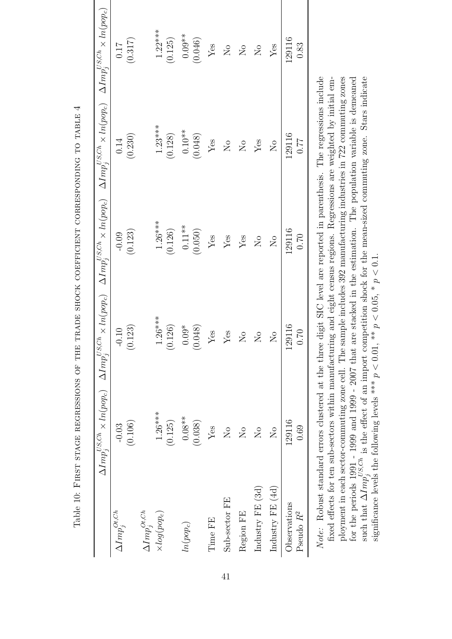|                        |                                      |                               |                      | $\Delta Imp_j^{US,Ch} \times ln(pop_c) \quad \Delta Imp_j^{US,Ch} \times ln(pop_c) \quad \Delta Imp_j^{US,Ch} \times ln(pop_c) \quad \Delta Imp_j^{US,Ch} \times ln(pop_c) \quad \Delta Imp_j^{US,Ch} \times ln(pop_c)$ |                               |
|------------------------|--------------------------------------|-------------------------------|----------------------|-------------------------------------------------------------------------------------------------------------------------------------------------------------------------------------------------------------------------|-------------------------------|
| $\Delta Imp^{Ot,Ch}_j$ | (0.106)<br>$-0.03$                   | (0.123)<br>$-0.10$            | (0.123)<br>$-0.09$   | (0.230)<br>0.14                                                                                                                                                                                                         | (0.317)<br>0.17               |
| $\Delta Imp^{Ot,Ch}_i$ |                                      |                               |                      |                                                                                                                                                                                                                         |                               |
| $\times log(pop_c)$    | $1.26***$<br>(0.125)                 | $1.26***$<br>(0.126)          | $1.26***$<br>(0.126) | $1.23***$<br>(0.128)                                                                                                                                                                                                    | $1.22***$<br>(0.125)          |
| $ln(pop_c)$            | $0.08**$<br>(0.038)                  | (0.048)<br>$0.09*$            | $0.11**$<br>(0.050)  | $0.10**$<br>(0.048)                                                                                                                                                                                                     | $0.09**$<br>(0.046)           |
| Time FE                | Yes                                  | Yes                           | Yes                  | $Y$ es                                                                                                                                                                                                                  | $Y$ es                        |
| Sub-sector FE          | $\overline{N}$                       | Yes                           | Yes                  | $\overline{R}$                                                                                                                                                                                                          | $\overline{S}$                |
| Region FE              | $\overline{\mathsf{X}}$              | $\overline{\mathsf{S}}$       | Yes                  | $\overline{\mathsf{X}}$                                                                                                                                                                                                 | $\mathcal{S}_{\mathsf{N}}$    |
| Industry FE (3d)       | $\overline{\mathsf{X}}^{\mathsf{o}}$ | $\overline{N}_{\overline{Q}}$ | ΣÓ                   | Yes                                                                                                                                                                                                                     | $\overline{N}_{\overline{O}}$ |
| Industry FE (4d)       | $\overline{\mathrm{N}}$              | $\overline{N}$                | $\overline{N}$       | $\overline{\mathrm{N}}$                                                                                                                                                                                                 | Yes                           |
| Observations           | 129116                               | 129116                        | 129116               | 129116                                                                                                                                                                                                                  | 129116                        |
| Pseudo R <sup>2</sup>  | 0.69                                 | 0.70                          | 0.70                 | 77.0                                                                                                                                                                                                                    | 0.83                          |

Table 10: FIRST STAGE REGRESSIONS OF THE TRADE SHOCK COEFFICIENT CORRESPONDING TO TABLE 4

fixed effects for ten sub-sectors within manufacturing and eight census regions. Regressions are weighted by initial employment in each sector-commuting zone cell. The sample includes 392 manufacturing industries in 722 commuting zones for the periods  $1991 - 1999$  and  $1999 - 2007$  that are stacked in the estimation. The population variable is demeaned for the periods  $\frac{1991 - 1999}{156}$  and  $1999 - 2007$  that are stacked in the estimation. The populatio such that  $\Delta Imp_j^{US,Ch}$  is the effect of an import competition shock for the mean-sized commuting zone. Stars indicate Note: Robust standard errors clustered at the three digit SIC level are reported in parenthesis. The regressions include ployment in each sector-commuting zone cell. The sample includes 392 manufacturing industries in 722 commuting zones such that  $\Delta Imp_j^{US,Ch}$  is the effect of an import competition shock for the mean-sized commuting zone. Stars indicate fixed effects for ten sub-sectors within manufacturing and eight census regions. Regressions are weighted by initial emfor the periods 1991 - 1999 and 1999 - 2007 that are stacked in the estimation. The population variable is demeaned significance levels the following levels \*\*\*  $p < 0.01$ , \*\*  $p < 0.05$ , \*  $p < 0.1$ . significance levels the following levels \*\*\*  $p < 0.01$ , \*\*  $p < 0.05$ , \*  $p < 0.1$ .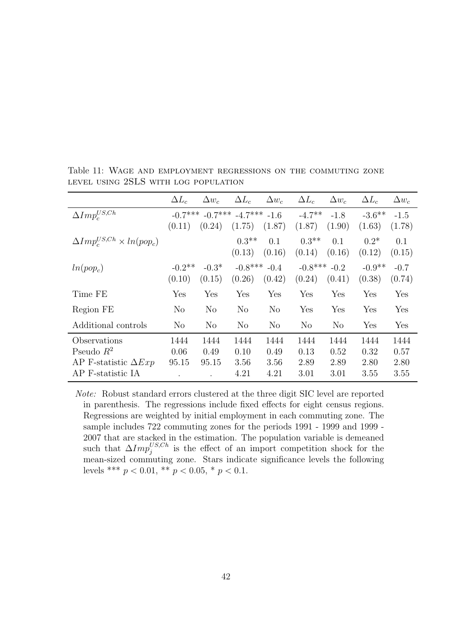|                                         | $\Delta L_c$   | $\Delta w_c$   | $\Delta L_c$               | $\Delta w_c$ | $\Delta L_c$   | $\Delta w_c$   | $\Delta L_c$ | $\Delta w_c$ |
|-----------------------------------------|----------------|----------------|----------------------------|--------------|----------------|----------------|--------------|--------------|
| $\Delta Imp^{US,Ch}_c$                  | $-0.7***$      |                | $-0.7***$ $-4.7***$ $-1.6$ |              | $-4.7**$       | $-1.8$         | $-3.6***$    | $-1.5$       |
|                                         | (0.11)         | (0.24)         | (1.75)                     | (1.87)       | (1.87)         | (1.90)         | (1.63)       | (1.78)       |
| $\Delta Imp_c^{US,Ch} \times ln(pop_c)$ |                |                | $0.3**$                    | 0.1          | $0.3**$        | 0.1            | $0.2*$       | 0.1          |
|                                         |                |                | (0.13)                     | (0.16)       | (0.14)         | (0.16)         | (0.12)       | (0.15)       |
| $ln(pop_c)$                             | $-0.2$ **      | $-0.3*$        | $-0.8***$                  | $-0.4$       | $-0.8***$      | $-0.2$         | $-0.9**$     | $-0.7$       |
|                                         | (0.10)         | (0.15)         | (0.26)                     | (0.42)       | (0.24)         | (0.41)         | (0.38)       | (0.74)       |
| Time FE                                 | Yes            | Yes            | Yes                        | Yes          | Yes            | Yes            | Yes          | Yes          |
| Region FE                               | $\rm No$       | N <sub>o</sub> | $\rm No$                   | $\rm No$     | Yes            | Yes            | Yes          | Yes          |
| Additional controls                     | N <sub>o</sub> | N <sub>o</sub> | $\rm No$                   | $\rm No$     | N <sub>o</sub> | N <sub>o</sub> | Yes          | Yes          |
| Observations                            | 1444           | 1444           | 1444                       | 1444         | 1444           | 1444           | 1444         | 1444         |
| Pseudo $R^2$                            | 0.06           | 0.49           | 0.10                       | 0.49         | 0.13           | 0.52           | 0.32         | 0.57         |
| AP F-statistic $\Delta Exp$             | 95.15          | 95.15          | 3.56                       | 3.56         | 2.89           | 2.89           | 2.80         | 2.80         |
| AP F-statistic IA                       |                |                | 4.21                       | 4.21         | 3.01           | 3.01           | $3.55\,$     | 3.55         |

Table 11: Wage and employment regressions on the commuting zone level using 2SLS with log population

Note: Robust standard errors clustered at the three digit SIC level are reported in parenthesis. The regressions include fixed effects for eight census regions. Regressions are weighted by initial employment in each commuting zone. The sample includes 722 commuting zones for the periods 1991 - 1999 and 1999 - 2007 that are stacked in the estimation. The population variable is demeaned such that  $\Delta Imp_j^{US,Ch}$  is the effect of an import competition shock for the mean-sized commuting zone. Stars indicate significance levels the following levels \*\*\*  $p < 0.01$ , \*\*  $p < 0.05$ , \*  $p < 0.1$ .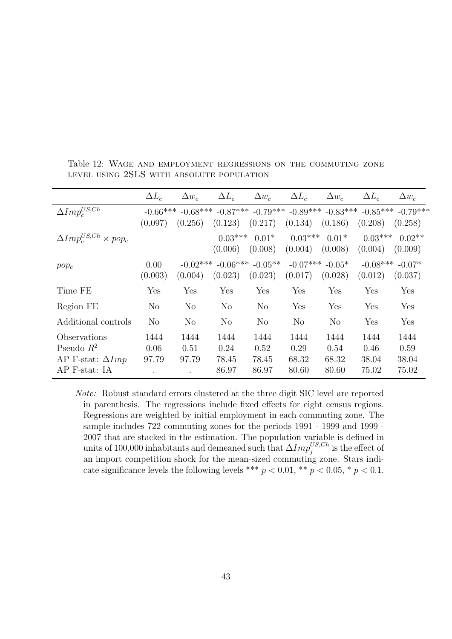|                                    | $\Delta L_c$   | $\Delta w_c$ | $\Delta L_c$   | $\Delta w_c$         | $\Delta L_c$                     | $\Delta w_c$   | $\Delta L_c$ | $\Delta w_c$ |
|------------------------------------|----------------|--------------|----------------|----------------------|----------------------------------|----------------|--------------|--------------|
| $\Delta Imp^{US,Ch}_c$             | $-0.66***$     | $-0.68***$   | $-0.87***$     |                      | $-0.79***$ $-0.89***$ $-0.83***$ |                | $-0.85***$   | $-0.79***$   |
|                                    | (0.097)        | (0.256)      | (0.123)        | (0.217)              | (0.134)                          | (0.186)        | (0.208)      | (0.258)      |
| $\Delta Imp_c^{US,Ch}\times pop_c$ |                |              | $0.03***$      | $0.01*$              | $0.03***$                        | $0.01*$        | $0.03***$    | $0.02**$     |
|                                    |                |              | (0.006)        | (0.008)              | (0.004)                          | (0.008)        | (0.004)      | (0.009)      |
| $pop_c$                            | 0.00           | $-0.02***$   | $-0.06***$     | $-0.05**$            | $-0.07***$                       | $-0.05*$       | $-0.08***$   | $-0.07*$     |
|                                    | (0.003)        | (0.004)      | (0.023)        | (0.023)              | (0.017)                          | (0.028)        | (0.012)      | (0.037)      |
| Time FE                            | Yes            | Yes          | Yes            | $\operatorname{Yes}$ | Yes                              | Yes            | Yes          | Yes          |
| Region FE                          | N <sub>o</sub> | No           | N <sub>o</sub> | N <sub>o</sub>       | Yes                              | Yes            | Yes          | Yes          |
| Additional controls                | N <sub>o</sub> | No           | $\rm No$       | $\rm No$             | N <sub>o</sub>                   | N <sub>o</sub> | Yes          | Yes          |
| Observations                       | 1444           | 1444         | 1444           | 1444                 | 1444                             | 1444           | 1444         | 1444         |
| Pseudo $R^2$                       | 0.06           | 0.51         | 0.24           | 0.52                 | 0.29                             | 0.54           | 0.46         | 0.59         |
| AP F-stat: $\Delta Imp$            | 97.79          | 97.79        | 78.45          | 78.45                | 68.32                            | 68.32          | 38.04        | 38.04        |
| AP F-stat: IA                      |                |              | 86.97          | 86.97                | 80.60                            | 80.60          | 75.02        | 75.02        |

Table 12: Wage and employment regressions on the commuting zone level using 2SLS with absolute population

Note: Robust standard errors clustered at the three digit SIC level are reported in parenthesis. The regressions include fixed effects for eight census regions. Regressions are weighted by initial employment in each commuting zone. The sample includes 722 commuting zones for the periods 1991 - 1999 and 1999 - 2007 that are stacked in the estimation. The population variable is defined in units of 100,000 inhabitants and demeaned such that  $\Delta Imp_j^{US,Ch}$  is the effect of an import competition shock for the mean-sized commuting zone. Stars indicate significance levels the following levels \*\*\*  $p < 0.01$ , \*\*  $p < 0.05$ , \*  $p < 0.1$ .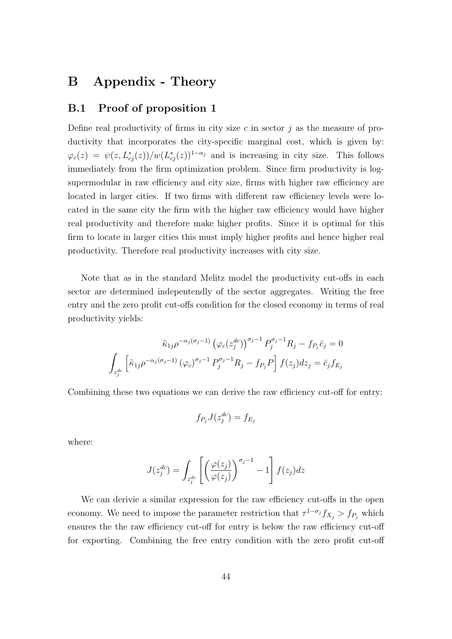# B Appendix - Theory

## B.1 Proof of proposition 1

Define real productivity of firms in city size  $c$  in sector  $j$  as the measure of productivity that incorporates the city-specific marginal cost, which is given by:  $\varphi_c(z) = \psi(z, L_{cj}^*(z)) / w(L_{cj}^*(z))^{1-\alpha_j}$  and is increasing in city size. This follows immediately from the firm optimization problem. Since firm productivity is logsupermodular in raw efficiency and city size, firms with higher raw efficiency are located in larger cities. If two firms with different raw efficiency levels were located in the same city the firm with the higher raw efficiency would have higher real productivity and therefore make higher profits. Since it is optimal for this firm to locate in larger cities this must imply higher profits and hence higher real productivity. Therefore real productivity increases with city size.

Note that as in the standard Melitz model the productivity cut-offs in each sector are determined indepentendly of the sector aggregates. Writing the free entry and the zero profit cut-offs condition for the closed economy in terms of real productivity yields:

$$
\tilde{\kappa}_{1j}\rho^{-\alpha_j(\sigma_j-1)}\left(\varphi_c(z_j^{dc})\right)^{\sigma_j-1}P_j^{\sigma_j-1}R_j - f_{P_j}\bar{c}_j = 0
$$
  

$$
\int_{z_j^{dc}} \left[\tilde{\kappa}_{1j}\rho^{-\alpha_j(\sigma_j-1)}\left(\varphi_c\right)^{\sigma_j-1}P_j^{\sigma_j-1}R_j - f_{P_j}P\right]f(z_j)dz_j = \bar{c}_j f_{E_j}
$$

Combining these two equations we can derive the raw efficiency cut-off for entry:

$$
f_{P_j}J(z_j^{dc}) = f_{E_j}
$$

where:

$$
J(z_j^{dc}) = \int_{z_j^{dc}} \left[ \left( \frac{\varphi(z_j)}{\varphi(z_j)} \right)^{\sigma_j - 1} - 1 \right] f(z_j) dz
$$

We can derivie a similar expression for the raw efficiency cut-offs in the open economy. We need to impose the parameter restriction that  $\tau^{1-\sigma_j} f_{X_j} > f_{P_j}$  which ensures the the raw efficiency cut-off for entry is below the raw efficiency cut-off for exporting. Combining the free entry condition with the zero profit cut-off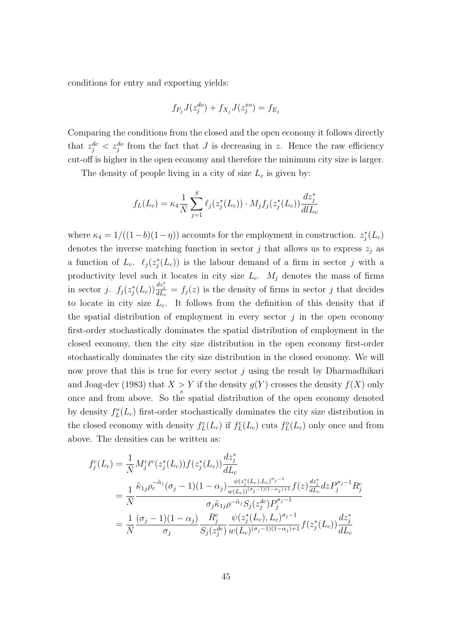conditions for entry and exporting yields:

$$
f_{P_j}J(z_j^{do}) + f_{X_j}J(z_j^{xo}) = f_{E_j}
$$

Comparing the conditions from the closed and the open economy it follows directly that  $z_j^{dc} < z_j^{do}$  from the fact that J is decreasing in z. Hence the raw efficiency cut-off is higher in the open economy and therefore the minimum city size is larger.

The density of people living in a city of size  $L_c$  is given by:

$$
f_L(L_c) = \kappa_4 \frac{1}{\bar{N}} \sum_{j=1}^{S} \ell_j(z_j^*(L_c)) \cdot M_j f_j(z_j^*(L_c)) \frac{dz_j^*}{d l L_c}
$$

where  $\kappa_4 = 1/((1-b)(1-\eta))$  accounts for the employment in construction.  $z_j^*(L_c)$ denotes the inverse matching function in sector j that allows us to express  $z_j$  as a function of  $L_c$ .  $\ell_j(z_j^*(L_c))$  is the labour demand of a firm in sector j with a productivity level such it locates in city size  $L_c$ .  $M_j$  denotes the mass of firms in sector j.  $f_j(z_j^*(L_c))\frac{dz_j^*}{dL_c} = f_j(z)$  is the density of firms in sector j that decides to locate in city size  $L_c$ . It follows from the definition of this density that if the spatial distribution of employment in every sector  $j$  in the open economy first-order stochastically dominates the spatial distribution of employment in the closed economy, then the city size distribution in the open economy first-order stochastically dominates the city size distribution in the closed economy. We will now prove that this is true for every sector  $j$  using the result by Dharmadhikari and Joag-dev (1983) that  $X > Y$  if the density  $g(Y)$  crosses the density  $f(X)$  only once and from above. So the spatial distribution of the open economy denoted by density  $f_L^o(L_c)$  first-order stochastically dominates the city size distribution in the closed economy with density  $f_L^c(L_c)$  if  $f_L^c(L_c)$  cuts  $f_L^o(L_c)$  only once and from above. The densities can be written as:

$$
f_j^c(L_c) = \frac{1}{\bar{N}} M_j^c \ell^c(z_j^*(L_c)) f(z_j^*(L_c)) \frac{dz_j^*}{dL_c}
$$
  
\n
$$
= \frac{1}{\bar{N}} \frac{\tilde{\kappa}_{1j} \rho_c^{-\tilde{\alpha}_j} (\sigma_j - 1)(1 - \alpha_j) \frac{\psi(z_j^*(L_c), L_c)^{\sigma_j - 1}}{\psi(L_c)^{(\sigma_j - 1)(1 - \alpha_j) + 1}} f(z) \frac{dz_j^*}{dL_c} dz P_j^{\sigma_j - 1} R_j^c}{\sigma_j \tilde{\kappa}_{1j} \rho^{-\tilde{\alpha}_j} S_j(z_j^{dc}) P_j^{\sigma_j - 1}}
$$
  
\n
$$
= \frac{1}{\bar{N}} \frac{(\sigma_j - 1)(1 - \alpha_j)}{\sigma_j} \frac{R_j^c}{S_j(z_j^{dc})} \frac{\psi(z_j^*(L_c), L_c)^{\sigma_j - 1}}{\psi(L_c)^{(\sigma_j - 1)(1 - \alpha_j) + 1}} f(z_j^*(L_c)) \frac{dz_j^*}{dL_c}
$$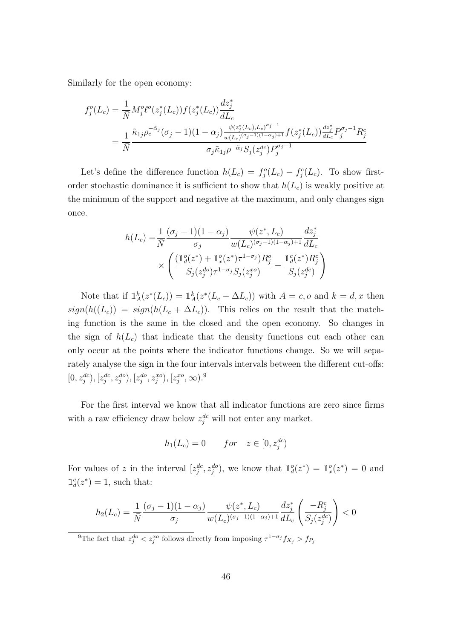Similarly for the open economy:

$$
f_j^o(L_c) = \frac{1}{N} M_j^o \ell^o(z_j^*(L_c)) f(z_j^*(L_c)) \frac{dz_j^*}{dL_c}
$$
  
= 
$$
\frac{1}{N} \frac{\tilde{\kappa}_{1j} \rho_c^{-\tilde{\alpha}_j} (\sigma_j - 1)(1 - \alpha_j) \frac{\psi(z_j^*(L_c), L_c)^{\sigma_j - 1}}{\psi(L_c)^{(\sigma_j - 1)(1 - \alpha_j) + 1}} f(z_j^*(L_c)) \frac{dz_j^*}{dL_c} P_j^{\sigma_j - 1} R_j^c}{\sigma_j \tilde{\kappa}_{1j} \rho^{-\tilde{\alpha}_j} S_j(z_j^{dc}) P_j^{\sigma_j - 1}}
$$

Let's define the difference function  $h(L_c) = f_j^c(L_c) - f_j^c(L_c)$ . To show firstorder stochastic dominance it is sufficient to show that  $h(L_c)$  is weakly positive at the minimum of the support and negative at the maximum, and only changes sign once.

$$
h(L_c) = \frac{1}{\bar{N}} \frac{(\sigma_j - 1)(1 - \alpha_j)}{\sigma_j} \frac{\psi(z^*, L_c)}{w(L_c)^{(\sigma_j - 1)(1 - \alpha_j) + 1}} \frac{dz_j^*}{dL_c}
$$

$$
\times \left( \frac{(\mathbb{1}_d^o(z^*) + \mathbb{1}_x^o(z^*)\tau^{1 - \sigma_j})R_j^o}{S_j(z_j^{do})\tau^{1 - \sigma_j}S_j(z_j^{xo})} - \frac{\mathbb{1}_d^c(z^*)R_j^c}{S_j(z_j^{de})} \right)
$$

Note that if  $\mathbb{1}_A^k(z^*(L_c)) = \mathbb{1}_A^k(z^*(L_c + \Delta L_c))$  with  $A = c, o$  and  $k = d, x$  then  $sign(h((L_c)) = sign(h(L_c + \Delta L_c))$ . This relies on the result that the matching function is the same in the closed and the open economy. So changes in the sign of  $h(L_c)$  that indicate that the density functions cut each other can only occur at the points where the indicator functions change. So we will separately analyse the sign in the four intervals intervals between the different cut-offs:  $[0, z_j^{dc}), [z_j^{dc}, z_j^{do}), [z_j^{do}, z_j^{xo}), [z_j^{xo}, \infty)$ .<sup>9</sup>

For the first interval we know that all indicator functions are zero since firms with a raw efficiency draw below  $z_j^{dc}$  will not enter any market.

$$
h_1(L_c) = 0 \qquad for \quad z \in [0, z_j^{dc})
$$

For values of z in the interval  $[z_j^{dc}, z_j^{do})$ , we know that  $\mathbb{1}_d^o(z^*) = \mathbb{1}_x^o(z^*) = 0$  and  $\mathbb{1}_d^c(z^*)=1$ , such that:

$$
h_2(L_c) = \frac{1}{\bar{N}} \frac{(\sigma_j - 1)(1 - \alpha_j)}{\sigma_j} \frac{\psi(z^*, L_c)}{w(L_c)^{(\sigma_j - 1)(1 - \alpha_j) + 1}} \frac{dz_j^*}{dL_c} \left(\frac{-R_j^c}{S_j(z_j^{dc})}\right) < 0
$$

<sup>9</sup>The fact that  $z_j^{do} < z_j^{xo}$  follows directly from imposing  $\tau^{1-\sigma_j} f_{X_j} > f_{P_j}$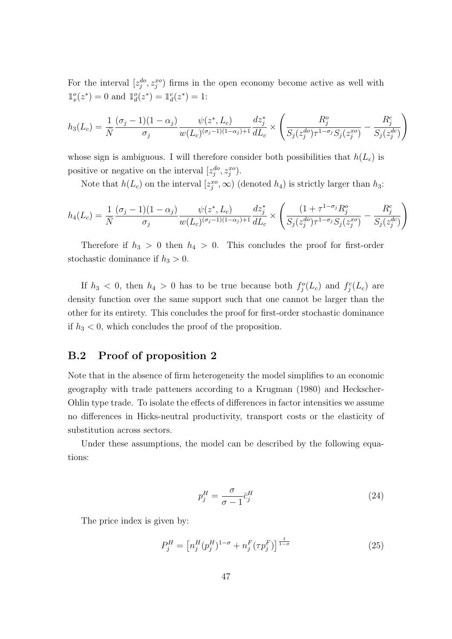For the interval  $[z_j^{do}, z_j^{xo})$  firms in the open economy become active as well with  $\mathbb{1}_{x}^{\circ}(z^{*})=0$  and  $\mathbb{1}_{d}^{\circ}(z^{*})=\mathbb{1}_{d}^{\circ}(z^{*})=1$ :

$$
h_3(L_c) = \frac{1}{\bar{N}} \frac{(\sigma_j - 1)(1 - \alpha_j)}{\sigma_j} \frac{\psi(z^*, L_c)}{w(L_c)^{(\sigma_j - 1)(1 - \alpha_j) + 1}} \frac{dz_j^*}{dL_c} \times \left( \frac{R_j^o}{S_j(z_j^{do})\tau^{1 - \sigma_j} S_j(z_j^{xo})} - \frac{R_j^c}{S_j(z_j^{de})} \right)
$$

whose sign is ambiguous. I will therefore consider both possibilities that  $h(L_c)$  is positive or negative on the interval  $[z_j^{do}, z_j^{xo})$ .

Note that  $h(L_c)$  on the interval  $[z_j^{xo}, \infty)$  (denoted  $h_4$ ) is strictly larger than  $h_3$ :

$$
h_4(L_c) = \frac{1}{\bar{N}} \frac{(\sigma_j - 1)(1 - \alpha_j)}{\sigma_j} \frac{\psi(z^*, L_c)}{w(L_c)^{(\sigma_j - 1)(1 - \alpha_j) + 1}} \frac{dz_j^*}{dL_c} \times \left( \frac{(1 + \tau^{1 - \sigma_j} R_j^o)}{S_j(z_j^{do}) \tau^{1 - \sigma_j} S_j(z_j^{xo})} - \frac{R_j^c}{S_j(z_j^{de})} \right)
$$

Therefore if  $h_3 > 0$  then  $h_4 > 0$ . This concludes the proof for first-order stochastic dominance if  $h_3 > 0$ .

If  $h_3 < 0$ , then  $h_4 > 0$  has to be true because both  $f_j^o(L_c)$  and  $f_j^c(L_c)$  are density function over the same support such that one cannot be larger than the other for its entirety. This concludes the proof for first-order stochastic dominance if  $h_3 < 0$ , which concludes the proof of the proposition.

## B.2 Proof of proposition 2

Note that in the absence of firm heterogeneity the model simplifies to an economic geography with trade patteners according to a Krugman (1980) and Heckscher-Ohlin type trade. To isolate the effects of differences in factor intensities we assume no differences in Hicks-neutral productivity, transport costs or the elasticity of substitution across sectors.

Under these assumptions, the model can be described by the following equations:

$$
p_j^H = \frac{\sigma}{\sigma - 1} \bar{c}_j^H \tag{24}
$$

The price index is given by:

$$
P_j^H = \left[ n_j^H (p_j^H)^{1-\sigma} + n_j^F (\tau p_j^F) \right]^{\frac{1}{1-\sigma}} \tag{25}
$$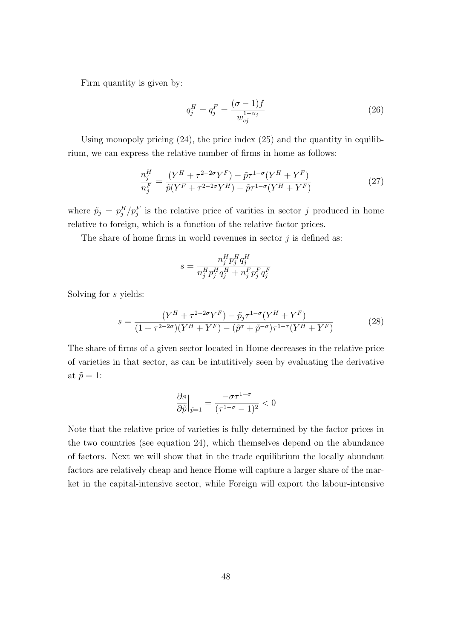Firm quantity is given by:

$$
q_j^H = q_j^F = \frac{(\sigma - 1)f}{w_{cj}^{1 - \alpha_j}}
$$
\n(26)

Using monopoly pricing (24), the price index (25) and the quantity in equilibrium, we can express the relative number of firms in home as follows:

$$
\frac{n_j^H}{n_j^F} = \frac{(Y^H + \tau^{2-2\sigma} Y^F) - \tilde{p}\tau^{1-\sigma}(Y^H + Y^F)}{\tilde{p}(Y^F + \tau^{2-2\sigma} Y^H) - \tilde{p}\tau^{1-\sigma}(Y^H + Y^F)}
$$
(27)

where  $\tilde{p}_j = p_j^H/p_j^F$  is the relative price of varities in sector j produced in home relative to foreign, which is a function of the relative factor prices.

The share of home firms in world revenues in sector  $j$  is defined as:

$$
s=\frac{n_j^H p_j^H q_j^H}{n_j^H p_j^H q_j^H+n_j^F p_j^F q_j^F}
$$

Solving for s yields:

$$
s = \frac{(Y^H + \tau^{2-2\sigma} Y^F) - \tilde{p}_j \tau^{1-\sigma} (Y^H + Y^F)}{(1 + \tau^{2-2\sigma}) (Y^H + Y^F) - (\tilde{p}^{\sigma} + \tilde{p}^{-\sigma}) \tau^{1-\tau} (Y^H + Y^F)}
$$
(28)

The share of firms of a given sector located in Home decreases in the relative price of varieties in that sector, as can be intutitively seen by evaluating the derivative at  $\tilde{p} = 1$ :

$$
\frac{\partial s}{\partial \tilde{p}}\Big|_{\tilde{p}=1}=\frac{-\sigma\tau^{1-\sigma}}{(\tau^{1-\sigma}-1)^2}<0
$$

Note that the relative price of varieties is fully determined by the factor prices in the two countries (see equation 24), which themselves depend on the abundance of factors. Next we will show that in the trade equilibrium the locally abundant factors are relatively cheap and hence Home will capture a larger share of the market in the capital-intensive sector, while Foreign will export the labour-intensive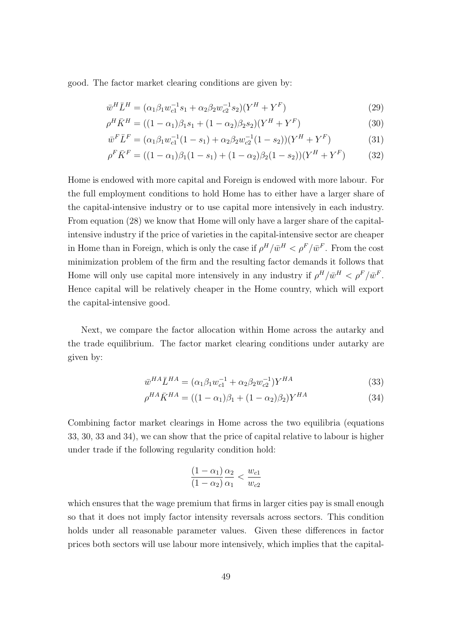good. The factor market clearing conditions are given by:

$$
\bar{w}^H \bar{L}^H = (\alpha_1 \beta_1 w_{c1}^{-1} s_1 + \alpha_2 \beta_2 w_{c2}^{-1} s_2)(Y^H + Y^F)
$$
\n(29)

$$
\rho^H \bar{K}^H = ((1 - \alpha_1)\beta_1 s_1 + (1 - \alpha_2)\beta_2 s_2)(Y^H + Y^F) \tag{30}
$$

$$
\bar{w}^F \bar{L}^F = (\alpha_1 \beta_1 w_{c1}^{-1} (1 - s_1) + \alpha_2 \beta_2 w_{c2}^{-1} (1 - s_2)) (Y^H + Y^F)
$$
(31)

$$
\rho^F \bar{K}^F = ((1 - \alpha_1)\beta_1(1 - s_1) + (1 - \alpha_2)\beta_2(1 - s_2))(Y^H + Y^F)
$$
(32)

Home is endowed with more capital and Foreign is endowed with more labour. For the full employment conditions to hold Home has to either have a larger share of the capital-intensive industry or to use capital more intensively in each industry. From equation (28) we know that Home will only have a larger share of the capitalintensive industry if the price of varieties in the capital-intensive sector are cheaper in Home than in Foreign, which is only the case if  $\rho^H/\bar{w}^H < \rho^F/\bar{w}^F$ . From the cost minimization problem of the firm and the resulting factor demands it follows that Home will only use capital more intensively in any industry if  $\rho^H/\bar{w}^H < \rho^F/\bar{w}^F$ . Hence capital will be relatively cheaper in the Home country, which will export the capital-intensive good.

Next, we compare the factor allocation within Home across the autarky and the trade equilibrium. The factor market clearing conditions under autarky are given by:

$$
\bar{w}^{HA}\bar{L}^{HA} = (\alpha_1\beta_1w_{c1}^{-1} + \alpha_2\beta_2w_{c2}^{-1})Y^{HA}
$$
\n(33)

$$
\rho^{HA} \bar{K}^{HA} = ((1 - \alpha_1)\beta_1 + (1 - \alpha_2)\beta_2) Y^{HA}
$$
\n(34)

Combining factor market clearings in Home across the two equilibria (equations 33, 30, 33 and 34), we can show that the price of capital relative to labour is higher under trade if the following regularity condition hold:

$$
\frac{(1-\alpha_1)}{(1-\alpha_2)}\frac{\alpha_2}{\alpha_1} < \frac{w_{c1}}{w_{c2}}
$$

which ensures that the wage premium that firms in larger cities pay is small enough so that it does not imply factor intensity reversals across sectors. This condition holds under all reasonable parameter values. Given these differences in factor prices both sectors will use labour more intensively, which implies that the capital